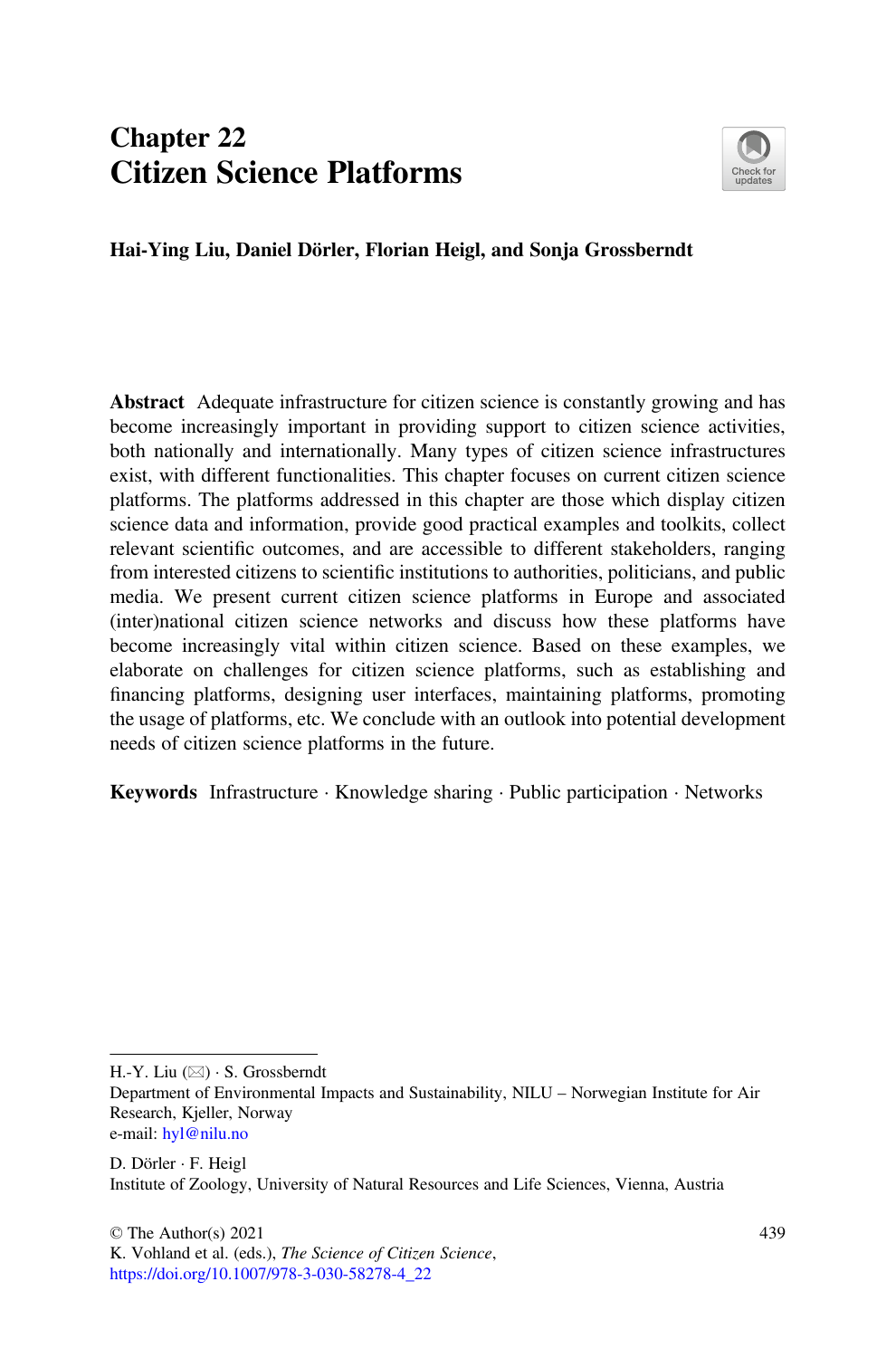# Chapter 22 Citizen Science Platforms



# Hai-Ying Liu, Daniel Dörler, Florian Heigl, and Sonja Grossberndt

Abstract Adequate infrastructure for citizen science is constantly growing and has become increasingly important in providing support to citizen science activities, both nationally and internationally. Many types of citizen science infrastructures exist, with different functionalities. This chapter focuses on current citizen science platforms. The platforms addressed in this chapter are those which display citizen science data and information, provide good practical examples and toolkits, collect relevant scientific outcomes, and are accessible to different stakeholders, ranging from interested citizens to scientific institutions to authorities, politicians, and public media. We present current citizen science platforms in Europe and associated (inter)national citizen science networks and discuss how these platforms have become increasingly vital within citizen science. Based on these examples, we elaborate on challenges for citizen science platforms, such as establishing and financing platforms, designing user interfaces, maintaining platforms, promoting the usage of platforms, etc. We conclude with an outlook into potential development needs of citizen science platforms in the future.

Keywords Infrastructure · Knowledge sharing · Public participation · Networks

H.-Y. Liu  $(\boxtimes) \cdot$  S. Grossberndt

Department of Environmental Impacts and Sustainability, NILU – Norwegian Institute for Air Research, Kjeller, Norway e-mail: [hyl@nilu.no](mailto:hyl@nilu.no)

D. Dörler · F. Heigl Institute of Zoology, University of Natural Resources and Life Sciences, Vienna, Austria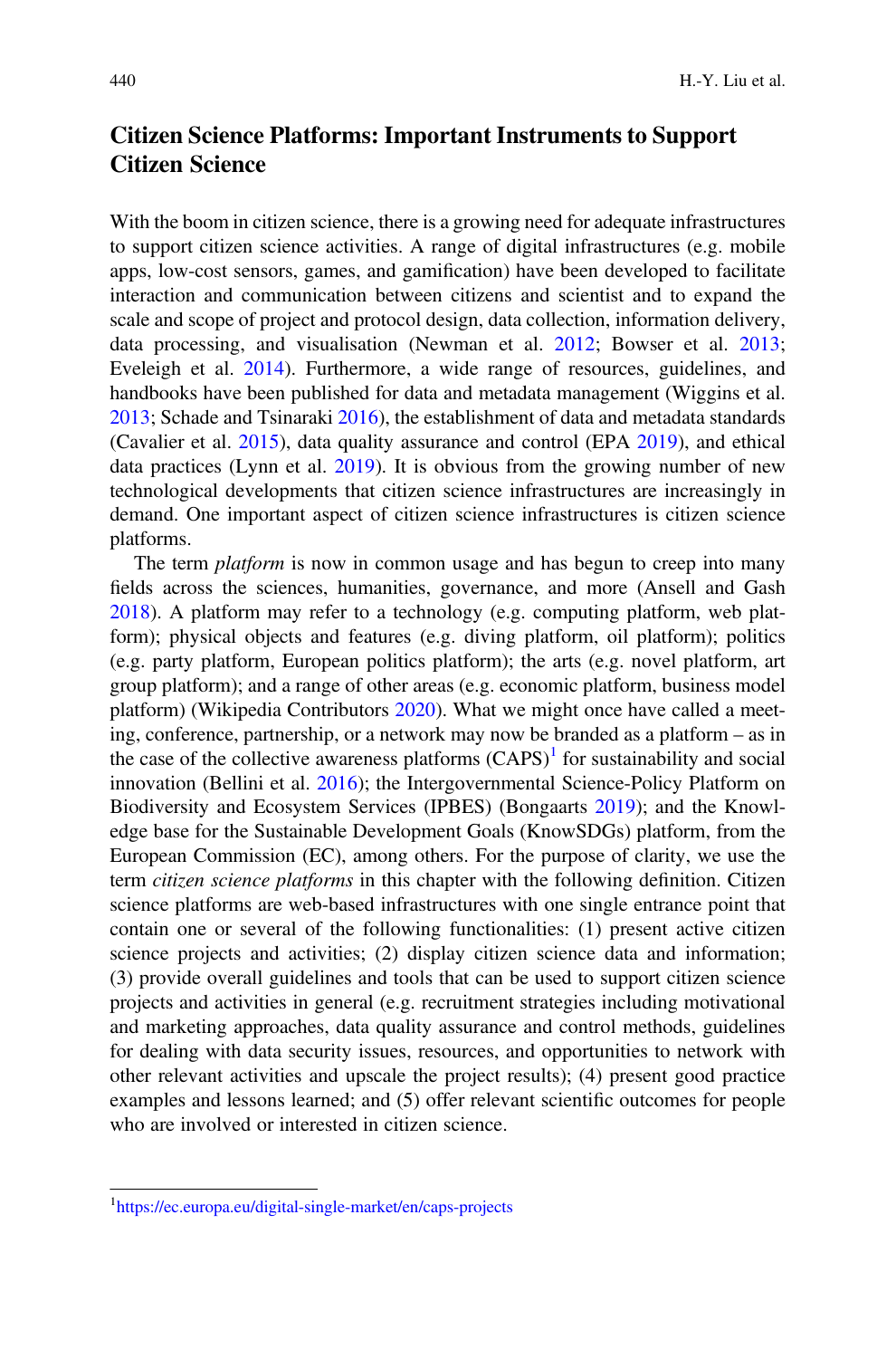# Citizen Science Platforms: Important Instruments to Support Citizen Science

With the boom in citizen science, there is a growing need for adequate infrastructures to support citizen science activities. A range of digital infrastructures (e.g. mobile apps, low-cost sensors, games, and gamification) have been developed to facilitate interaction and communication between citizens and scientist and to expand the scale and scope of project and protocol design, data collection, information delivery, data processing, and visualisation (Newman et al. [2012](#page-19-0); Bowser et al. [2013;](#page-18-0) Eveleigh et al. [2014\)](#page-18-1). Furthermore, a wide range of resources, guidelines, and handbooks have been published for data and metadata management (Wiggins et al. [2013;](#page-19-1) Schade and Tsinaraki [2016\)](#page-19-2), the establishment of data and metadata standards (Cavalier et al. [2015](#page-18-2)), data quality assurance and control (EPA [2019\)](#page-18-3), and ethical data practices (Lynn et al. [2019](#page-19-3)). It is obvious from the growing number of new technological developments that citizen science infrastructures are increasingly in demand. One important aspect of citizen science infrastructures is citizen science platforms.

The term *platform* is now in common usage and has begun to creep into many fields across the sciences, humanities, governance, and more (Ansell and Gash [2018\)](#page-18-4). A platform may refer to a technology (e.g. computing platform, web platform); physical objects and features (e.g. diving platform, oil platform); politics (e.g. party platform, European politics platform); the arts (e.g. novel platform, art group platform); and a range of other areas (e.g. economic platform, business model platform) (Wikipedia Contributors [2020\)](#page-19-4). What we might once have called a meeting, conference, partnership, or a network may now be branded as a platform – as in the case of the collective awareness platforms  $(CAPS)^1$  $(CAPS)^1$  for sustainability and social innovation (Bellini et al. [2016](#page-18-5)); the Intergovernmental Science-Policy Platform on Biodiversity and Ecosystem Services (IPBES) (Bongaarts [2019\)](#page-18-6); and the Knowledge base for the Sustainable Development Goals (KnowSDGs) platform, from the European Commission (EC), among others. For the purpose of clarity, we use the term citizen science platforms in this chapter with the following definition. Citizen science platforms are web-based infrastructures with one single entrance point that contain one or several of the following functionalities: (1) present active citizen science projects and activities; (2) display citizen science data and information; (3) provide overall guidelines and tools that can be used to support citizen science projects and activities in general (e.g. recruitment strategies including motivational and marketing approaches, data quality assurance and control methods, guidelines for dealing with data security issues, resources, and opportunities to network with other relevant activities and upscale the project results); (4) present good practice examples and lessons learned; and (5) offer relevant scientific outcomes for people who are involved or interested in citizen science.

<span id="page-1-0"></span><sup>1</sup> <https://ec.europa.eu/digital-single-market/en/caps-projects>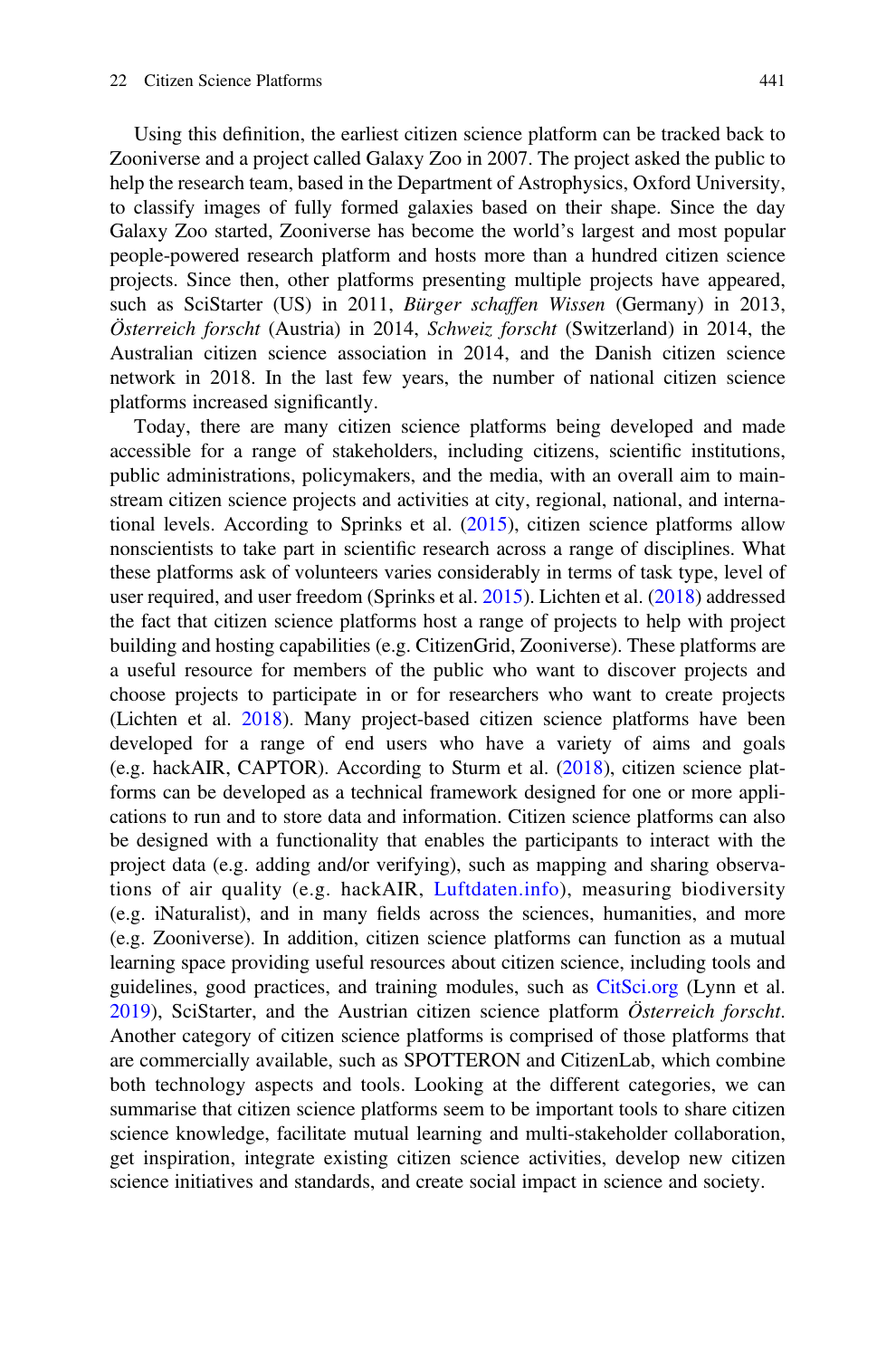Using this definition, the earliest citizen science platform can be tracked back to Zooniverse and a project called Galaxy Zoo in 2007. The project asked the public to help the research team, based in the Department of Astrophysics, Oxford University, to classify images of fully formed galaxies based on their shape. Since the day Galaxy Zoo started, Zooniverse has become the world's largest and most popular people-powered research platform and hosts more than a hundred citizen science projects. Since then, other platforms presenting multiple projects have appeared, such as SciStarter (US) in 2011, Bürger schaffen Wissen (Germany) in 2013, Österreich forscht (Austria) in 2014, Schweiz forscht (Switzerland) in 2014, the Australian citizen science association in 2014, and the Danish citizen science network in 2018. In the last few years, the number of national citizen science platforms increased significantly.

Today, there are many citizen science platforms being developed and made accessible for a range of stakeholders, including citizens, scientific institutions, public administrations, policymakers, and the media, with an overall aim to mainstream citizen science projects and activities at city, regional, national, and international levels. According to Sprinks et al. [\(2015](#page-19-5)), citizen science platforms allow nonscientists to take part in scientific research across a range of disciplines. What these platforms ask of volunteers varies considerably in terms of task type, level of user required, and user freedom (Sprinks et al. [2015\)](#page-19-5). Lichten et al. [\(2018](#page-19-6)) addressed the fact that citizen science platforms host a range of projects to help with project building and hosting capabilities (e.g. CitizenGrid, Zooniverse). These platforms are a useful resource for members of the public who want to discover projects and choose projects to participate in or for researchers who want to create projects (Lichten et al. [2018\)](#page-19-6). Many project-based citizen science platforms have been developed for a range of end users who have a variety of aims and goals (e.g. hackAIR, CAPTOR). According to Sturm et al. [\(2018](#page-19-7)), citizen science platforms can be developed as a technical framework designed for one or more applications to run and to store data and information. Citizen science platforms can also be designed with a functionality that enables the participants to interact with the project data (e.g. adding and/or verifying), such as mapping and sharing observations of air quality (e.g. hackAIR, [Luftdaten.info\)](http://luftdaten.info), measuring biodiversity (e.g. iNaturalist), and in many fields across the sciences, humanities, and more (e.g. Zooniverse). In addition, citizen science platforms can function as a mutual learning space providing useful resources about citizen science, including tools and guidelines, good practices, and training modules, such as [CitSci.org](http://citsci.org) (Lynn et al. [2019](#page-19-3)), SciStarter, and the Austrian citizen science platform Österreich forscht. Another category of citizen science platforms is comprised of those platforms that are commercially available, such as SPOTTERON and CitizenLab, which combine both technology aspects and tools. Looking at the different categories, we can summarise that citizen science platforms seem to be important tools to share citizen science knowledge, facilitate mutual learning and multi-stakeholder collaboration, get inspiration, integrate existing citizen science activities, develop new citizen science initiatives and standards, and create social impact in science and society.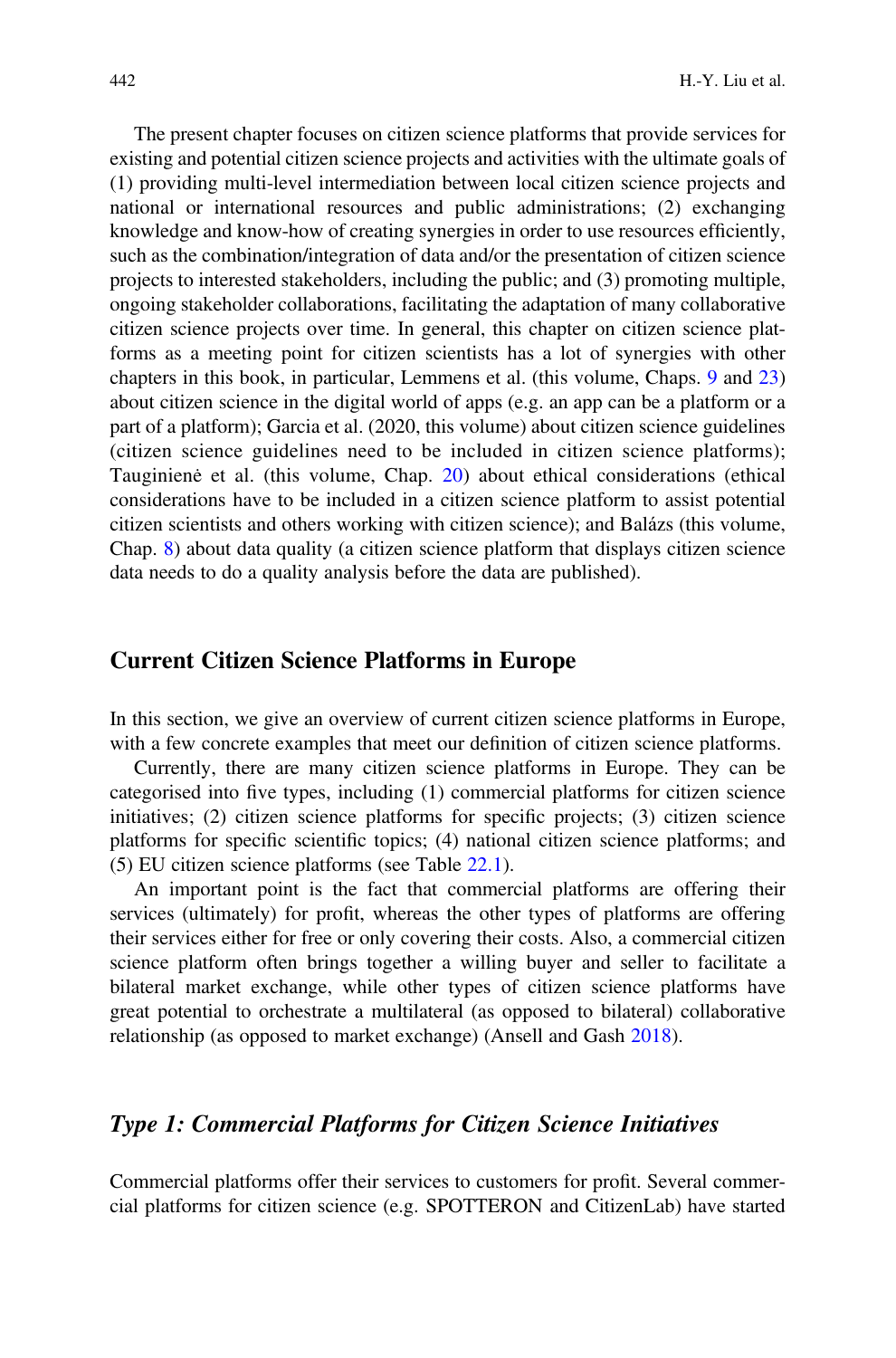The present chapter focuses on citizen science platforms that provide services for existing and potential citizen science projects and activities with the ultimate goals of (1) providing multi-level intermediation between local citizen science projects and national or international resources and public administrations; (2) exchanging knowledge and know-how of creating synergies in order to use resources efficiently, such as the combination/integration of data and/or the presentation of citizen science projects to interested stakeholders, including the public; and (3) promoting multiple, ongoing stakeholder collaborations, facilitating the adaptation of many collaborative citizen science projects over time. In general, this chapter on citizen science platforms as a meeting point for citizen scientists has a lot of synergies with other chapters in this book, in particular, Lemmens et al. (this volume, Chaps. [9](https://doi.org/10.1007/978-3-030-58278-4_9) and [23](https://doi.org/10.1007/978-3-030-58278-4_23)) about citizen science in the digital world of apps (e.g. an app can be a platform or a part of a platform); Garcia et al. (2020, this volume) about citizen science guidelines (citizen science guidelines need to be included in citizen science platforms); Tauginienė et al. (this volume, Chap. [20](https://doi.org/10.1007/978-3-030-58278-4_20)) about ethical considerations (ethical considerations have to be included in a citizen science platform to assist potential citizen scientists and others working with citizen science); and Balázs (this volume, Chap. [8](https://doi.org/10.1007/978-3-030-58278-4_8)) about data quality (a citizen science platform that displays citizen science data needs to do a quality analysis before the data are published).

# Current Citizen Science Platforms in Europe

In this section, we give an overview of current citizen science platforms in Europe, with a few concrete examples that meet our definition of citizen science platforms.

Currently, there are many citizen science platforms in Europe. They can be categorised into five types, including (1) commercial platforms for citizen science initiatives; (2) citizen science platforms for specific projects; (3) citizen science platforms for specific scientific topics; (4) national citizen science platforms; and (5) EU citizen science platforms (see Table [22.1\)](#page-4-0).

An important point is the fact that commercial platforms are offering their services (ultimately) for profit, whereas the other types of platforms are offering their services either for free or only covering their costs. Also, a commercial citizen science platform often brings together a willing buyer and seller to facilitate a bilateral market exchange, while other types of citizen science platforms have great potential to orchestrate a multilateral (as opposed to bilateral) collaborative relationship (as opposed to market exchange) (Ansell and Gash [2018\)](#page-18-4).

### Type 1: Commercial Platforms for Citizen Science Initiatives

Commercial platforms offer their services to customers for profit. Several commercial platforms for citizen science (e.g. SPOTTERON and CitizenLab) have started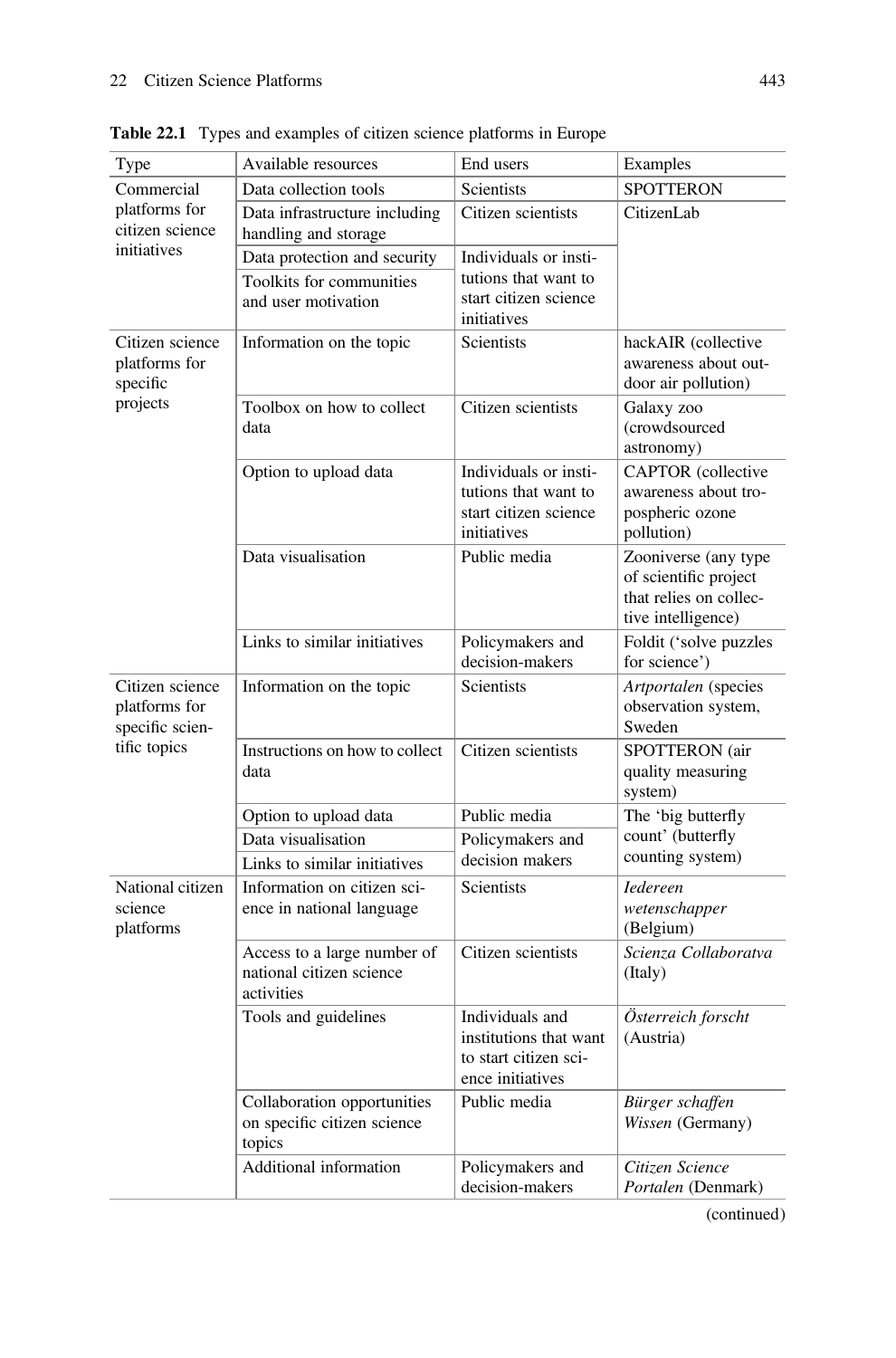| Type                                                                | Available resources                                                   | End users                                                                              | Examples                                                                                      |
|---------------------------------------------------------------------|-----------------------------------------------------------------------|----------------------------------------------------------------------------------------|-----------------------------------------------------------------------------------------------|
| Commercial<br>platforms for<br>citizen science                      | Data collection tools                                                 | <b>Scientists</b>                                                                      | <b>SPOTTERON</b>                                                                              |
|                                                                     | Data infrastructure including<br>handling and storage                 | Citizen scientists                                                                     | CitizenLab                                                                                    |
| initiatives                                                         | Data protection and security                                          | Individuals or insti-                                                                  |                                                                                               |
|                                                                     | Toolkits for communities<br>and user motivation                       | tutions that want to<br>start citizen science<br>initiatives                           |                                                                                               |
| Citizen science<br>platforms for<br>specific<br>projects            | Information on the topic                                              | <b>Scientists</b>                                                                      | hackAIR (collective<br>awareness about out-<br>door air pollution)                            |
|                                                                     | Toolbox on how to collect<br>data                                     | Citizen scientists                                                                     | Galaxy zoo<br>(crowdsourced<br>astronomy)                                                     |
|                                                                     | Option to upload data                                                 | Individuals or insti-<br>tutions that want to<br>start citizen science<br>initiatives  | <b>CAPTOR</b> (collective<br>awareness about tro-<br>pospheric ozone<br>pollution)            |
|                                                                     | Data visualisation                                                    | Public media                                                                           | Zooniverse (any type<br>of scientific project<br>that relies on collec-<br>tive intelligence) |
|                                                                     | Links to similar initiatives                                          | Policymakers and<br>decision-makers                                                    | Foldit ('solve puzzles<br>for science')                                                       |
| Citizen science<br>platforms for<br>specific scien-<br>tific topics | Information on the topic                                              | <b>Scientists</b>                                                                      | Artportalen (species<br>observation system,<br>Sweden                                         |
|                                                                     | Instructions on how to collect<br>data                                | Citizen scientists                                                                     | SPOTTERON (air<br>quality measuring<br>system)                                                |
|                                                                     | Option to upload data                                                 | Public media                                                                           | The 'big butterfly                                                                            |
|                                                                     | Data visualisation<br>Links to similar initiatives                    | Policymakers and<br>decision makers                                                    | count' (butterfly<br>counting system)                                                         |
| National citizen<br>science<br>platforms                            | Information on citizen sci-<br>ence in national language              | <b>Scientists</b>                                                                      | <b>Iedereen</b><br>wetenschapper<br>(Belgium)                                                 |
|                                                                     | Access to a large number of<br>national citizen science<br>activities | Citizen scientists                                                                     | Scienza Collaboratva<br>(Italy)                                                               |
|                                                                     | Tools and guidelines                                                  | Individuals and<br>institutions that want<br>to start citizen sci-<br>ence initiatives | Österreich forscht<br>(Austria)                                                               |
|                                                                     | Collaboration opportunities<br>on specific citizen science<br>topics  | Public media                                                                           | Bürger schaffen<br>Wissen (Germany)                                                           |
|                                                                     | Additional information                                                | Policymakers and<br>decision-makers                                                    | Citizen Science<br>Portalen (Denmark)                                                         |

<span id="page-4-0"></span>Table 22.1 Types and examples of citizen science platforms in Europe

(continued)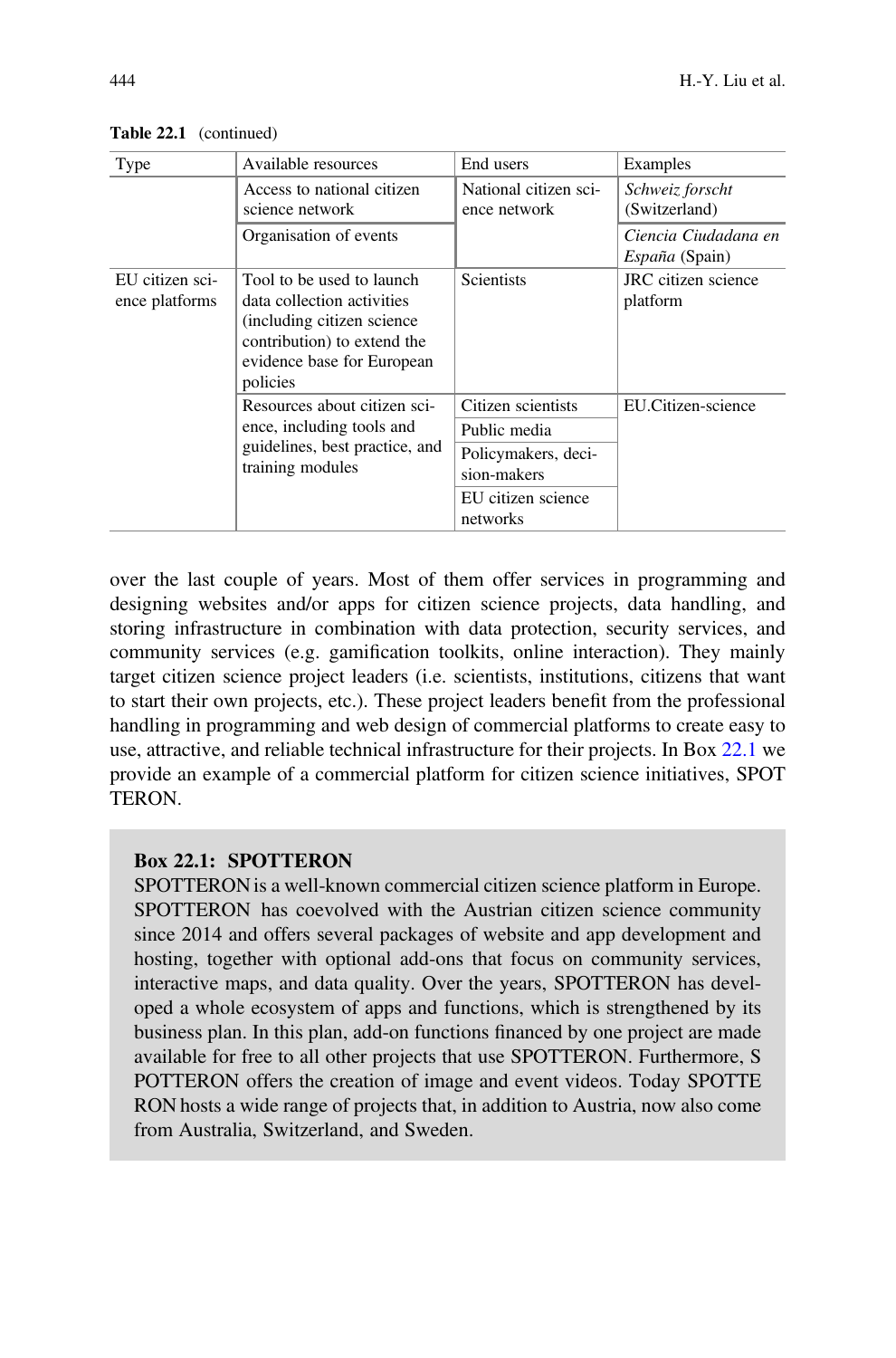| Type                              | Available resources                                                                                                                                             | End users                                                                                                  | Examples                                      |
|-----------------------------------|-----------------------------------------------------------------------------------------------------------------------------------------------------------------|------------------------------------------------------------------------------------------------------------|-----------------------------------------------|
|                                   | Access to national citizen<br>science network                                                                                                                   | National citizen sci-<br>ence network                                                                      | Schweiz forscht<br>(Switzerland)              |
|                                   | Organisation of events                                                                                                                                          |                                                                                                            | Ciencia Ciudadana en<br><i>España</i> (Spain) |
| EU citizen sci-<br>ence platforms | Tool to be used to launch<br>data collection activities<br>(including citizen science)<br>contribution) to extend the<br>evidence base for European<br>policies | Scientists                                                                                                 | JRC citizen science<br>platform               |
|                                   | Resources about citizen sci-<br>ence, including tools and<br>guidelines, best practice, and<br>training modules                                                 | Citizen scientists<br>Public media<br>Policymakers, deci-<br>sion-makers<br>EU citizen science<br>networks | EU.Citizen-science                            |

Table 22.1 (continued)

over the last couple of years. Most of them offer services in programming and designing websites and/or apps for citizen science projects, data handling, and storing infrastructure in combination with data protection, security services, and community services (e.g. gamification toolkits, online interaction). They mainly target citizen science project leaders (i.e. scientists, institutions, citizens that want to start their own projects, etc.). These project leaders benefit from the professional handling in programming and web design of commercial platforms to create easy to use, attractive, and reliable technical infrastructure for their projects. In Box [22.1](#page-5-0) we provide an example of a commercial platform for citizen science initiatives, SPOT **TERON** 

### <span id="page-5-0"></span>Box 22.1: SPOTTERON

SPOTTERON is a well-known commercial citizen science platform in Europe. SPOTTERON has coevolved with the Austrian citizen science community since 2014 and offers several packages of website and app development and hosting, together with optional add-ons that focus on community services, interactive maps, and data quality. Over the years, SPOTTERON has developed a whole ecosystem of apps and functions, which is strengthened by its business plan. In this plan, add-on functions financed by one project are made available for free to all other projects that use SPOTTERON. Furthermore, S POTTERON offers the creation of image and event videos. Today SPOTTE RON hosts a wide range of projects that, in addition to Austria, now also come from Australia, Switzerland, and Sweden.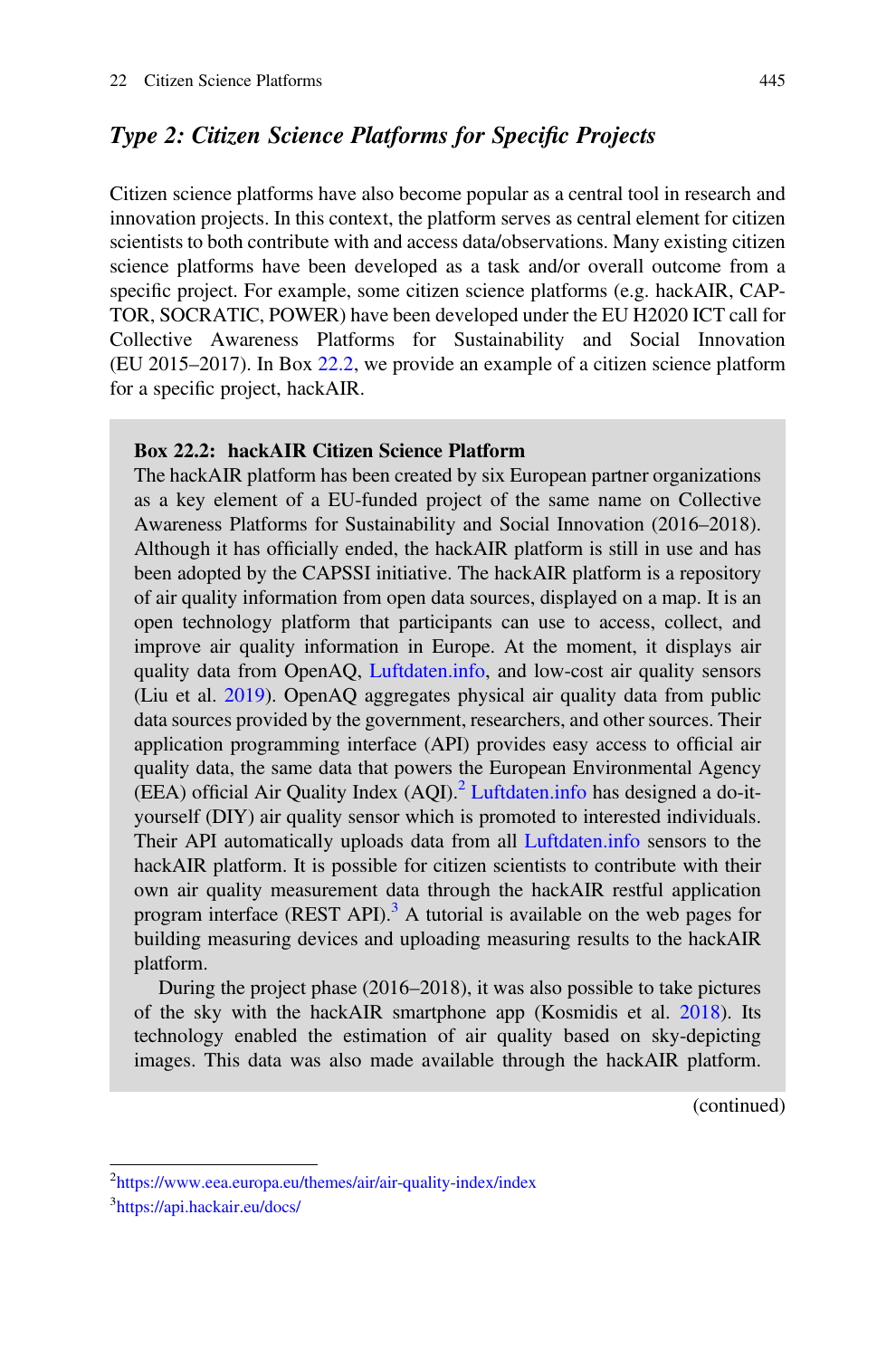# Type 2: Citizen Science Platforms for Specific Projects

Citizen science platforms have also become popular as a central tool in research and innovation projects. In this context, the platform serves as central element for citizen scientists to both contribute with and access data/observations. Many existing citizen science platforms have been developed as a task and/or overall outcome from a specific project. For example, some citizen science platforms (e.g. hackAIR, CAP-TOR, SOCRATIC, POWER) have been developed under the EU H2020 ICT call for Collective Awareness Platforms for Sustainability and Social Innovation (EU 2015–2017). In Box [22.2,](#page-6-0) we provide an example of a citizen science platform for a specific project, hackAIR.

### <span id="page-6-0"></span>Box 22.2: hackAIR Citizen Science Platform

The hackAIR platform has been created by six European partner organizations as a key element of a EU-funded project of the same name on Collective Awareness Platforms for Sustainability and Social Innovation (2016–2018). Although it has officially ended, the hackAIR platform is still in use and has been adopted by the CAPSSI initiative. The hackAIR platform is a repository of air quality information from open data sources, displayed on a map. It is an open technology platform that participants can use to access, collect, and improve air quality information in Europe. At the moment, it displays air quality data from OpenAQ, [Luftdaten.info](http://luftdaten.info), and low-cost air quality sensors (Liu et al. [2019](#page-19-8)). OpenAQ aggregates physical air quality data from public data sources provided by the government, researchers, and other sources. Their application programming interface (API) provides easy access to official air quality data, the same data that powers the European Environmental Agency (EEA) official Air Quality Index  $(AQI)$ .<sup>[2](#page-6-1)</sup> [Luftdaten.info](http://luftdaten.info) has designed a do-ityourself (DIY) air quality sensor which is promoted to interested individuals. Their API automatically uploads data from all [Luftdaten.info](http://luftdaten.info) sensors to the hackAIR platform. It is possible for citizen scientists to contribute with their own air quality measurement data through the hackAIR restful application program interface (REST API). $3$  A tutorial is available on the web pages for building measuring devices and uploading measuring results to the hackAIR platform.

During the project phase (2016–2018), it was also possible to take pictures of the sky with the hackAIR smartphone app (Kosmidis et al. [2018\)](#page-18-7). Its technology enabled the estimation of air quality based on sky-depicting images. This data was also made available through the hackAIR platform.

(continued)

<span id="page-6-1"></span><sup>2</sup> <https://www.eea.europa.eu/themes/air/air-quality-index/index>

<span id="page-6-2"></span><sup>&</sup>lt;sup>3</sup><https://api.hackair.eu/docs/>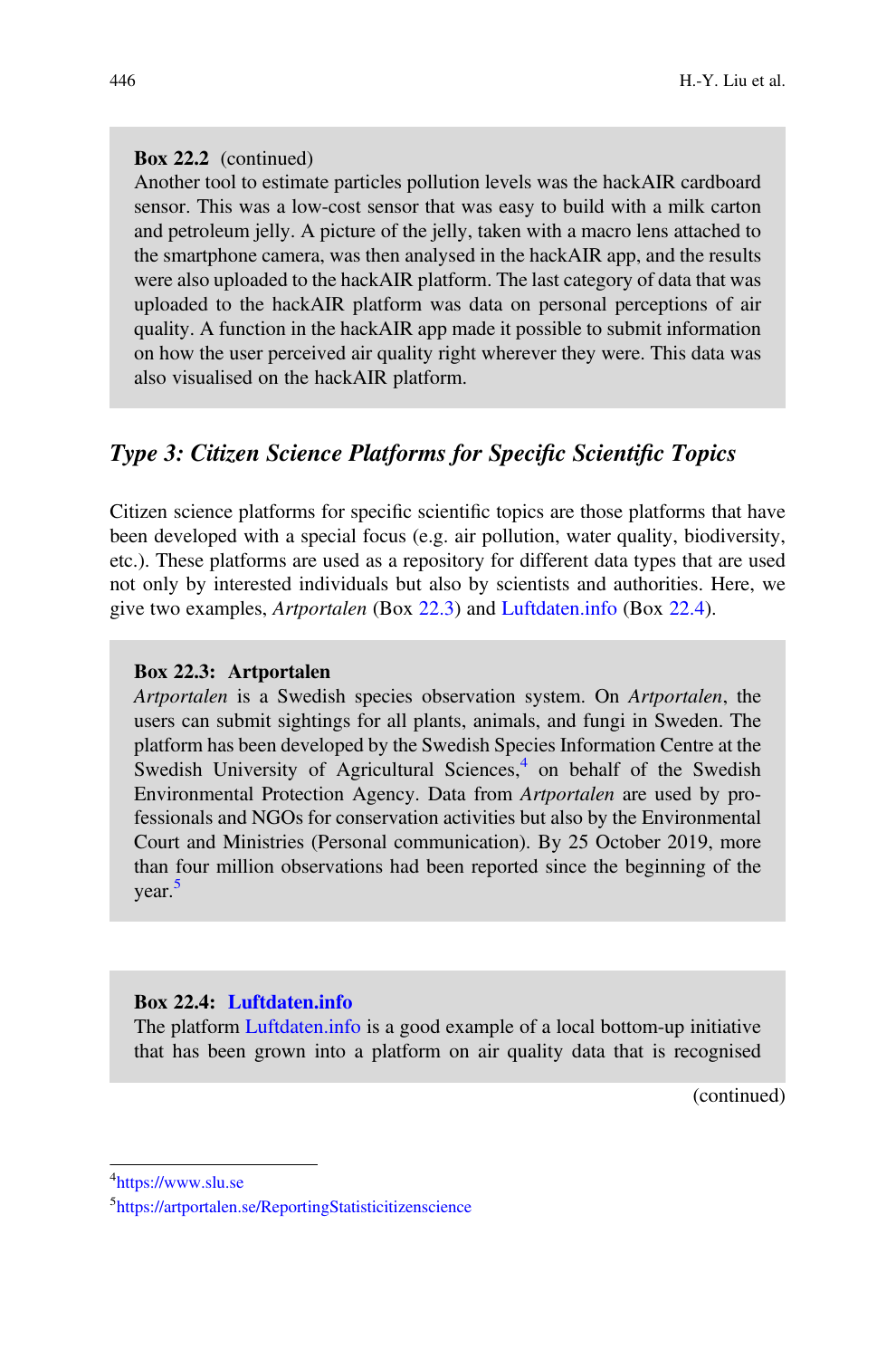#### Box 22.2 (continued)

Another tool to estimate particles pollution levels was the hackAIR cardboard sensor. This was a low-cost sensor that was easy to build with a milk carton and petroleum jelly. A picture of the jelly, taken with a macro lens attached to the smartphone camera, was then analysed in the hackAIR app, and the results were also uploaded to the hackAIR platform. The last category of data that was uploaded to the hackAIR platform was data on personal perceptions of air quality. A function in the hackAIR app made it possible to submit information on how the user perceived air quality right wherever they were. This data was also visualised on the hackAIR platform.

# Type 3: Citizen Science Platforms for Specific Scientific Topics

Citizen science platforms for specific scientific topics are those platforms that have been developed with a special focus (e.g. air pollution, water quality, biodiversity, etc.). These platforms are used as a repository for different data types that are used not only by interested individuals but also by scientists and authorities. Here, we give two examples, Artportalen (Box [22.3](#page-7-0)) and [Luftdaten.info](http://luftdaten.info) (Box [22.4\)](#page-7-1).

#### <span id="page-7-0"></span>Box 22.3: Artportalen

Artportalen is a Swedish species observation system. On Artportalen, the users can submit sightings for all plants, animals, and fungi in Sweden. The platform has been developed by the Swedish Species Information Centre at the Swedish University of Agricultural Sciences,<sup>[4](#page-7-2)</sup> on behalf of the Swedish Environmental Protection Agency. Data from Artportalen are used by professionals and NGOs for conservation activities but also by the Environmental Court and Ministries (Personal communication). By 25 October 2019, more than four million observations had been reported since the beginning of the year.<sup>[5](#page-7-3)</sup>

# <span id="page-7-1"></span>Box 22.4: [Luftdaten.info](http://luftdaten.info)

The platform [Luftdaten.info](http://luftdaten.info) is a good example of a local bottom-up initiative that has been grown into a platform on air quality data that is recognised

(continued)

<span id="page-7-2"></span><sup>4</sup><https://www.slu.se>

<span id="page-7-3"></span><sup>5</sup> <https://artportalen.se/ReportingStatisticitizenscience>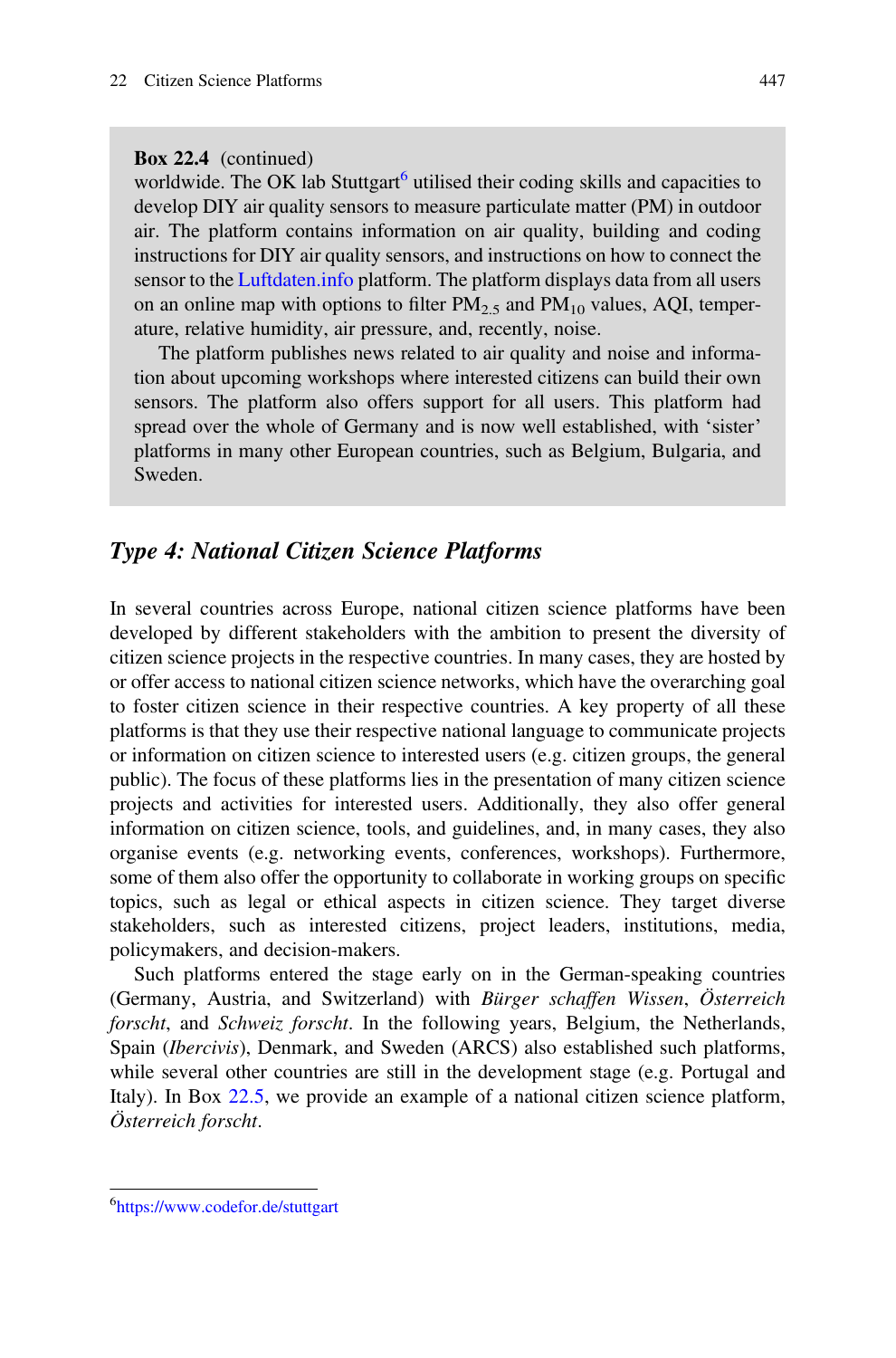#### Box 22.4 (continued)

worldwide. The OK lab Stuttgart<sup>[6](#page-8-0)</sup> utilised their coding skills and capacities to develop DIY air quality sensors to measure particulate matter (PM) in outdoor air. The platform contains information on air quality, building and coding instructions for DIY air quality sensors, and instructions on how to connect the sensor to the [Luftdaten.info](http://luftdaten.info) platform. The platform displays data from all users on an online map with options to filter  $PM_2$ , and  $PM_{10}$  values, AQI, temperature, relative humidity, air pressure, and, recently, noise.

The platform publishes news related to air quality and noise and information about upcoming workshops where interested citizens can build their own sensors. The platform also offers support for all users. This platform had spread over the whole of Germany and is now well established, with 'sister' platforms in many other European countries, such as Belgium, Bulgaria, and Sweden.

# Type 4: National Citizen Science Platforms

In several countries across Europe, national citizen science platforms have been developed by different stakeholders with the ambition to present the diversity of citizen science projects in the respective countries. In many cases, they are hosted by or offer access to national citizen science networks, which have the overarching goal to foster citizen science in their respective countries. A key property of all these platforms is that they use their respective national language to communicate projects or information on citizen science to interested users (e.g. citizen groups, the general public). The focus of these platforms lies in the presentation of many citizen science projects and activities for interested users. Additionally, they also offer general information on citizen science, tools, and guidelines, and, in many cases, they also organise events (e.g. networking events, conferences, workshops). Furthermore, some of them also offer the opportunity to collaborate in working groups on specific topics, such as legal or ethical aspects in citizen science. They target diverse stakeholders, such as interested citizens, project leaders, institutions, media, policymakers, and decision-makers.

Such platforms entered the stage early on in the German-speaking countries (Germany, Austria, and Switzerland) with Bürger schaffen Wissen, Österreich forscht, and Schweiz forscht. In the following years, Belgium, the Netherlands, Spain (Ibercivis), Denmark, and Sweden (ARCS) also established such platforms, while several other countries are still in the development stage (e.g. Portugal and Italy). In Box [22.5,](#page-9-0) we provide an example of a national citizen science platform, Österreich forscht.

<span id="page-8-0"></span><sup>6</sup> <https://www.codefor.de/stuttgart>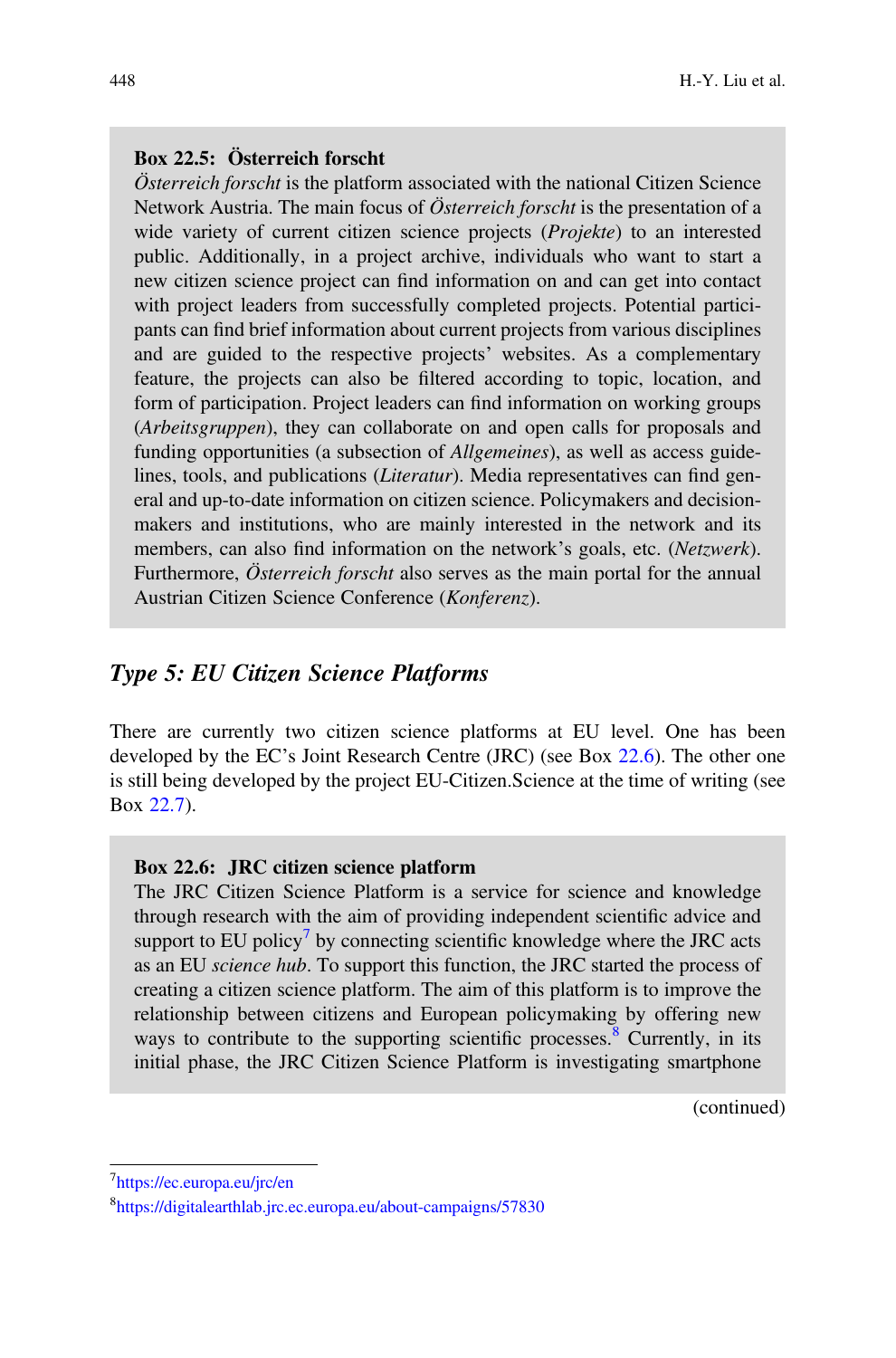# <span id="page-9-0"></span>Box 22.5: Österreich forscht

 $Österreich for *scht* is the platform associated with the national Citizen Science$ Network Austria. The main focus of Österreich forscht is the presentation of a wide variety of current citizen science projects (*Projekte*) to an interested public. Additionally, in a project archive, individuals who want to start a new citizen science project can find information on and can get into contact with project leaders from successfully completed projects. Potential participants can find brief information about current projects from various disciplines and are guided to the respective projects' websites. As a complementary feature, the projects can also be filtered according to topic, location, and form of participation. Project leaders can find information on working groups (Arbeitsgruppen), they can collaborate on and open calls for proposals and funding opportunities (a subsection of Allgemeines), as well as access guidelines, tools, and publications (*Literatur*). Media representatives can find general and up-to-date information on citizen science. Policymakers and decisionmakers and institutions, who are mainly interested in the network and its members, can also find information on the network's goals, etc. (Netzwerk). Furthermore, Österreich forscht also serves as the main portal for the annual Austrian Citizen Science Conference (Konferenz).

# Type 5: EU Citizen Science Platforms

There are currently two citizen science platforms at EU level. One has been developed by the EC's Joint Research Centre (JRC) (see Box [22.6\)](#page-9-1). The other one is still being developed by the project EU-Citizen.Science at the time of writing (see Box [22.7\)](#page-10-0).

#### <span id="page-9-1"></span>Box 22.6: JRC citizen science platform

The JRC Citizen Science Platform is a service for science and knowledge through research with the aim of providing independent scientific advice and support to EU policy<sup>[7](#page-9-2)</sup> by connecting scientific knowledge where the JRC acts as an EU science hub. To support this function, the JRC started the process of creating a citizen science platform. The aim of this platform is to improve the relationship between citizens and European policymaking by offering new ways to contribute to the supporting scientific processes.<sup>8</sup> Currently, in its initial phase, the JRC Citizen Science Platform is investigating smartphone

(continued)

<span id="page-9-3"></span><span id="page-9-2"></span>7 <https://ec.europa.eu/jrc/en>

<sup>8</sup> <https://digitalearthlab.jrc.ec.europa.eu/about-campaigns/57830>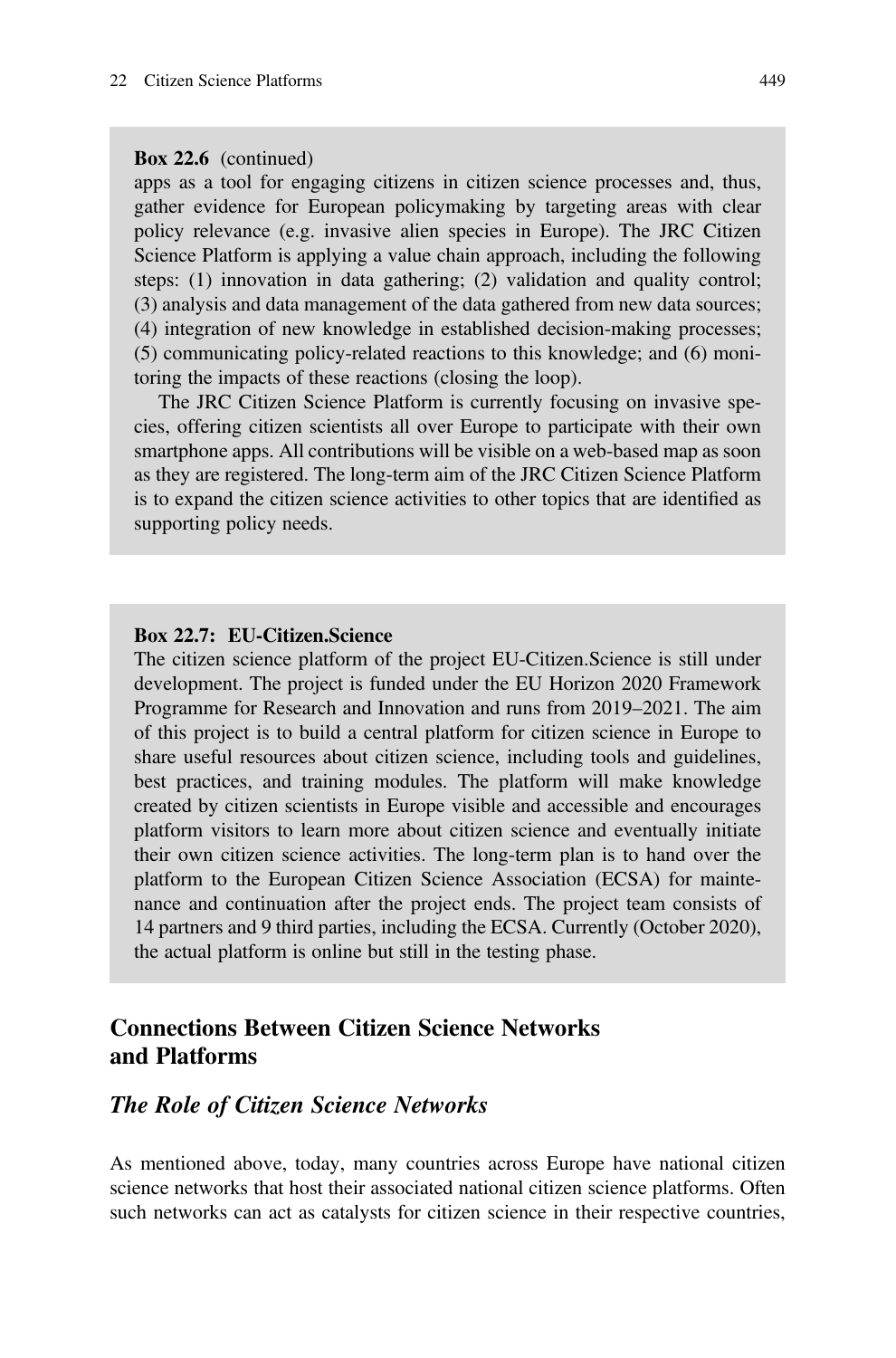#### Box 22.6 (continued)

apps as a tool for engaging citizens in citizen science processes and, thus, gather evidence for European policymaking by targeting areas with clear policy relevance (e.g. invasive alien species in Europe). The JRC Citizen Science Platform is applying a value chain approach, including the following steps: (1) innovation in data gathering; (2) validation and quality control; (3) analysis and data management of the data gathered from new data sources; (4) integration of new knowledge in established decision-making processes; (5) communicating policy-related reactions to this knowledge; and (6) monitoring the impacts of these reactions (closing the loop).

The JRC Citizen Science Platform is currently focusing on invasive species, offering citizen scientists all over Europe to participate with their own smartphone apps. All contributions will be visible on a web-based map as soon as they are registered. The long-term aim of the JRC Citizen Science Platform is to expand the citizen science activities to other topics that are identified as supporting policy needs.

#### <span id="page-10-0"></span>Box 22.7: EU-Citizen.Science

The citizen science platform of the project EU-Citizen.Science is still under development. The project is funded under the EU Horizon 2020 Framework Programme for Research and Innovation and runs from 2019–2021. The aim of this project is to build a central platform for citizen science in Europe to share useful resources about citizen science, including tools and guidelines, best practices, and training modules. The platform will make knowledge created by citizen scientists in Europe visible and accessible and encourages platform visitors to learn more about citizen science and eventually initiate their own citizen science activities. The long-term plan is to hand over the platform to the European Citizen Science Association (ECSA) for maintenance and continuation after the project ends. The project team consists of 14 partners and 9 third parties, including the ECSA. Currently (October 2020), the actual platform is online but still in the testing phase.

# Connections Between Citizen Science Networks and Platforms

### The Role of Citizen Science Networks

As mentioned above, today, many countries across Europe have national citizen science networks that host their associated national citizen science platforms. Often such networks can act as catalysts for citizen science in their respective countries,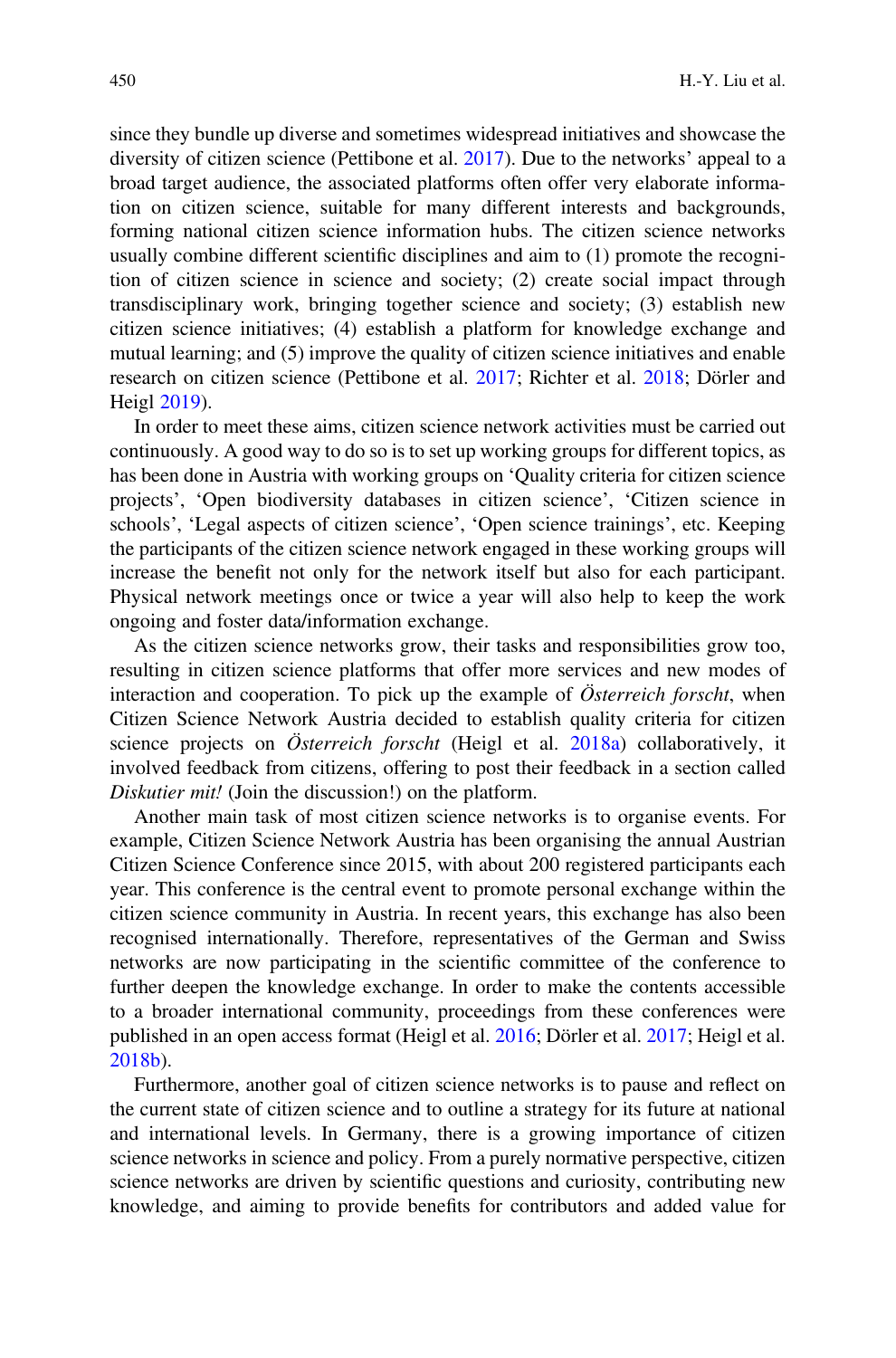since they bundle up diverse and sometimes widespread initiatives and showcase the diversity of citizen science (Pettibone et al. [2017\)](#page-19-9). Due to the networks' appeal to a broad target audience, the associated platforms often offer very elaborate information on citizen science, suitable for many different interests and backgrounds, forming national citizen science information hubs. The citizen science networks usually combine different scientific disciplines and aim to (1) promote the recognition of citizen science in science and society; (2) create social impact through transdisciplinary work, bringing together science and society; (3) establish new citizen science initiatives; (4) establish a platform for knowledge exchange and mutual learning; and (5) improve the quality of citizen science initiatives and enable research on citizen science (Pettibone et al. [2017](#page-19-9); Richter et al. [2018;](#page-19-10) Dörler and Heigl [2019\)](#page-18-8).

In order to meet these aims, citizen science network activities must be carried out continuously. A good way to do so is to set up working groups for different topics, as has been done in Austria with working groups on 'Quality criteria for citizen science projects', 'Open biodiversity databases in citizen science', 'Citizen science in schools', 'Legal aspects of citizen science', 'Open science trainings', etc. Keeping the participants of the citizen science network engaged in these working groups will increase the benefit not only for the network itself but also for each participant. Physical network meetings once or twice a year will also help to keep the work ongoing and foster data/information exchange.

As the citizen science networks grow, their tasks and responsibilities grow too, resulting in citizen science platforms that offer more services and new modes of interaction and cooperation. To pick up the example of Österreich forscht, when Citizen Science Network Austria decided to establish quality criteria for citizen science projects on Österreich forscht (Heigl et al. [2018a](#page-18-9)) collaboratively, it involved feedback from citizens, offering to post their feedback in a section called Diskutier mit! (Join the discussion!) on the platform.

Another main task of most citizen science networks is to organise events. For example, Citizen Science Network Austria has been organising the annual Austrian Citizen Science Conference since 2015, with about 200 registered participants each year. This conference is the central event to promote personal exchange within the citizen science community in Austria. In recent years, this exchange has also been recognised internationally. Therefore, representatives of the German and Swiss networks are now participating in the scientific committee of the conference to further deepen the knowledge exchange. In order to make the contents accessible to a broader international community, proceedings from these conferences were published in an open access format (Heigl et al. [2016;](#page-18-10) Dörler et al. [2017](#page-18-11); Heigl et al. [2018b\)](#page-18-12).

Furthermore, another goal of citizen science networks is to pause and reflect on the current state of citizen science and to outline a strategy for its future at national and international levels. In Germany, there is a growing importance of citizen science networks in science and policy. From a purely normative perspective, citizen science networks are driven by scientific questions and curiosity, contributing new knowledge, and aiming to provide benefits for contributors and added value for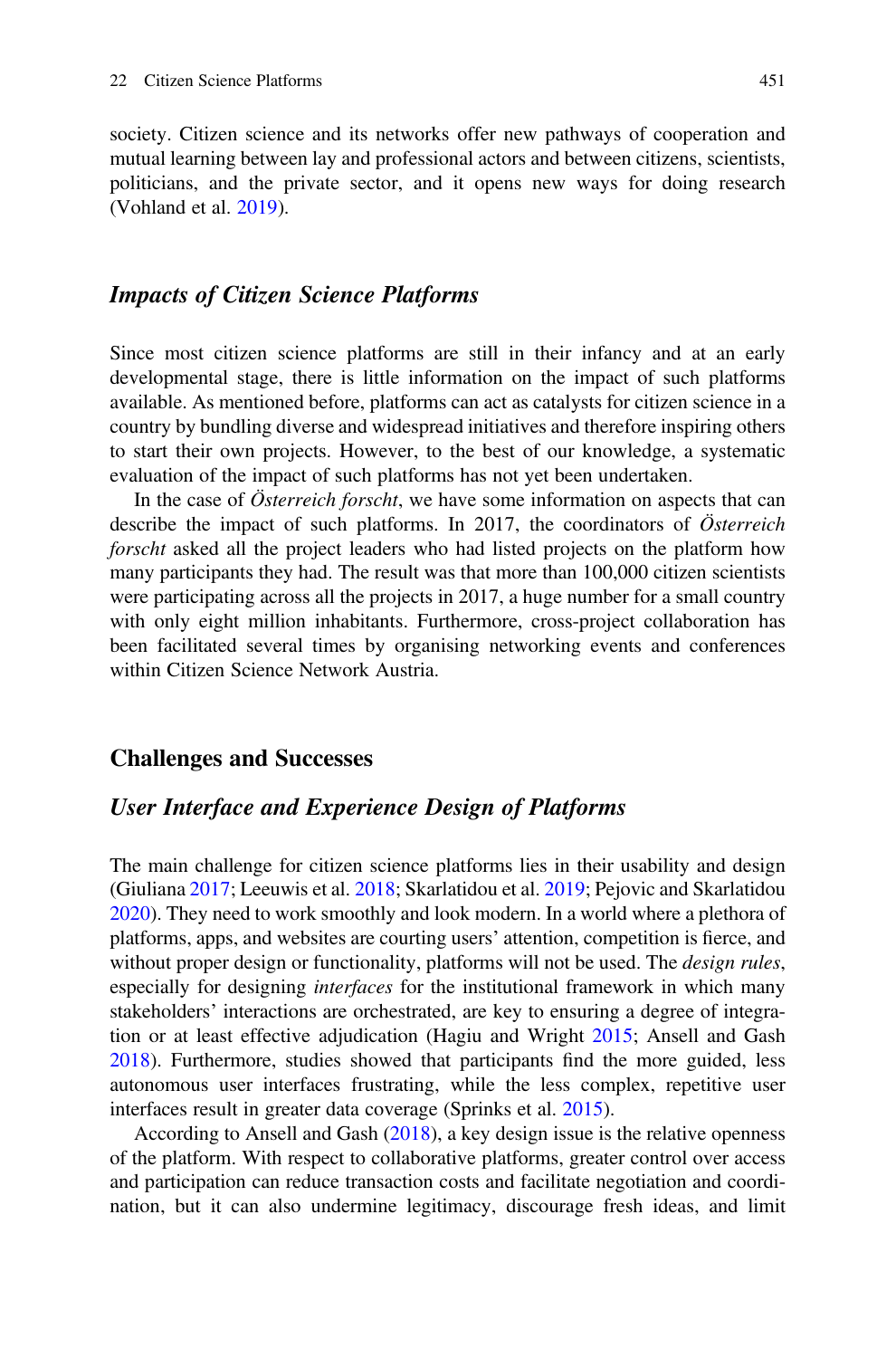society. Citizen science and its networks offer new pathways of cooperation and mutual learning between lay and professional actors and between citizens, scientists, politicians, and the private sector, and it opens new ways for doing research (Vohland et al. [2019](#page-19-11)).

### Impacts of Citizen Science Platforms

Since most citizen science platforms are still in their infancy and at an early developmental stage, there is little information on the impact of such platforms available. As mentioned before, platforms can act as catalysts for citizen science in a country by bundling diverse and widespread initiatives and therefore inspiring others to start their own projects. However, to the best of our knowledge, a systematic evaluation of the impact of such platforms has not yet been undertaken.

In the case of *Österreich forscht*, we have some information on aspects that can describe the impact of such platforms. In 2017, the coordinators of Österreich forscht asked all the project leaders who had listed projects on the platform how many participants they had. The result was that more than 100,000 citizen scientists were participating across all the projects in 2017, a huge number for a small country with only eight million inhabitants. Furthermore, cross-project collaboration has been facilitated several times by organising networking events and conferences within Citizen Science Network Austria.

### Challenges and Successes

### User Interface and Experience Design of Platforms

The main challenge for citizen science platforms lies in their usability and design (Giuliana [2017](#page-18-13); Leeuwis et al. [2018](#page-18-14); Skarlatidou et al. [2019](#page-19-12); Pejovic and Skarlatidou [2020\)](#page-19-13). They need to work smoothly and look modern. In a world where a plethora of platforms, apps, and websites are courting users' attention, competition is fierce, and without proper design or functionality, platforms will not be used. The *design rules*, especially for designing *interfaces* for the institutional framework in which many stakeholders' interactions are orchestrated, are key to ensuring a degree of integration or at least effective adjudication (Hagiu and Wright [2015;](#page-18-15) Ansell and Gash [2018\)](#page-18-4). Furthermore, studies showed that participants find the more guided, less autonomous user interfaces frustrating, while the less complex, repetitive user interfaces result in greater data coverage (Sprinks et al. [2015](#page-19-5)).

According to Ansell and Gash [\(2018](#page-18-4)), a key design issue is the relative openness of the platform. With respect to collaborative platforms, greater control over access and participation can reduce transaction costs and facilitate negotiation and coordination, but it can also undermine legitimacy, discourage fresh ideas, and limit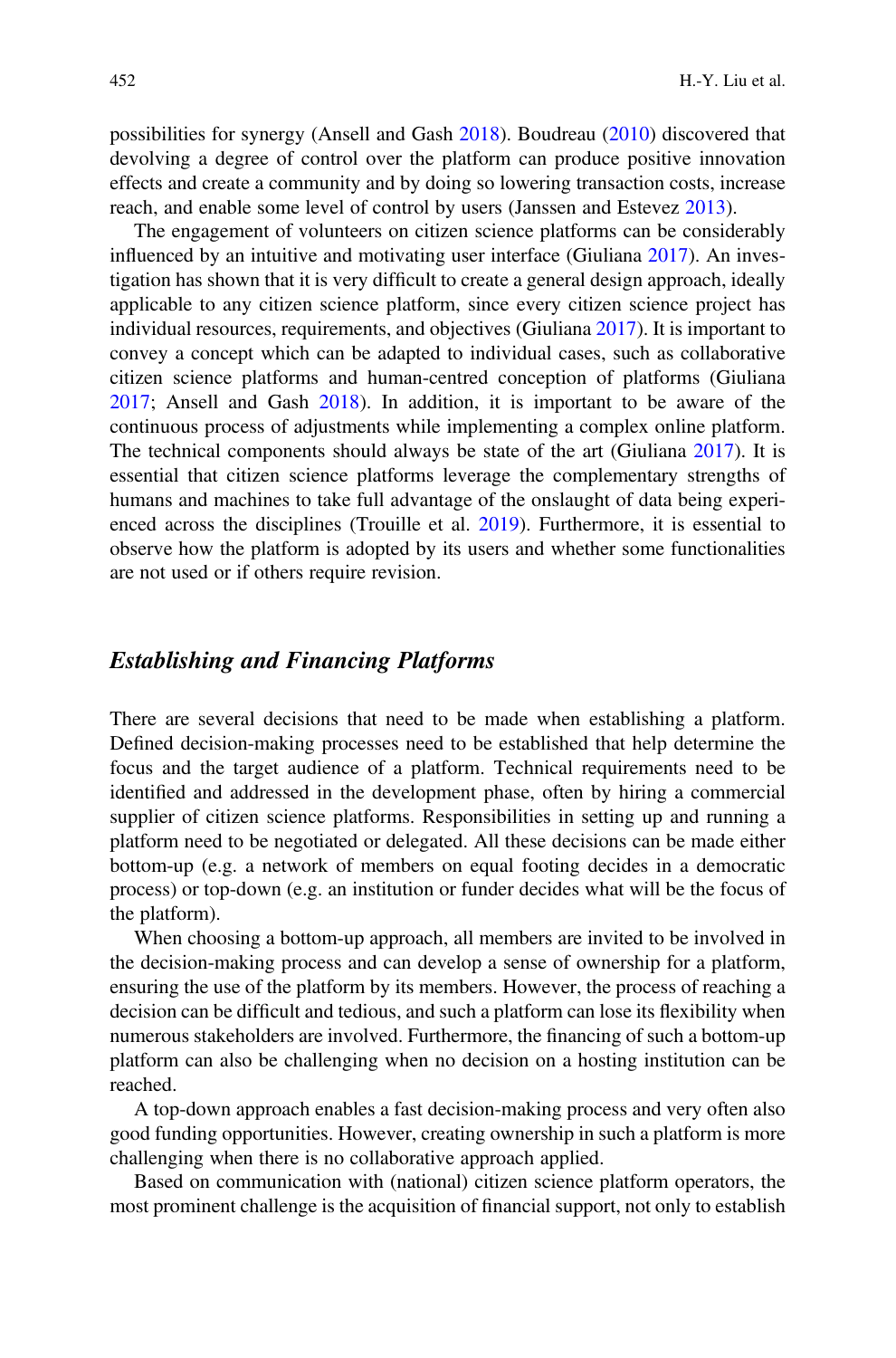possibilities for synergy (Ansell and Gash [2018](#page-18-4)). Boudreau ([2010\)](#page-18-16) discovered that devolving a degree of control over the platform can produce positive innovation effects and create a community and by doing so lowering transaction costs, increase reach, and enable some level of control by users (Janssen and Estevez [2013](#page-18-17)).

The engagement of volunteers on citizen science platforms can be considerably influenced by an intuitive and motivating user interface (Giuliana [2017\)](#page-18-13). An investigation has shown that it is very difficult to create a general design approach, ideally applicable to any citizen science platform, since every citizen science project has individual resources, requirements, and objectives (Giuliana [2017](#page-18-13)). It is important to convey a concept which can be adapted to individual cases, such as collaborative citizen science platforms and human-centred conception of platforms (Giuliana [2017;](#page-18-13) Ansell and Gash [2018\)](#page-18-4). In addition, it is important to be aware of the continuous process of adjustments while implementing a complex online platform. The technical components should always be state of the art (Giuliana [2017](#page-18-13)). It is essential that citizen science platforms leverage the complementary strengths of humans and machines to take full advantage of the onslaught of data being experienced across the disciplines (Trouille et al. [2019\)](#page-19-14). Furthermore, it is essential to observe how the platform is adopted by its users and whether some functionalities are not used or if others require revision.

# Establishing and Financing Platforms

There are several decisions that need to be made when establishing a platform. Defined decision-making processes need to be established that help determine the focus and the target audience of a platform. Technical requirements need to be identified and addressed in the development phase, often by hiring a commercial supplier of citizen science platforms. Responsibilities in setting up and running a platform need to be negotiated or delegated. All these decisions can be made either bottom-up (e.g. a network of members on equal footing decides in a democratic process) or top-down (e.g. an institution or funder decides what will be the focus of the platform).

When choosing a bottom-up approach, all members are invited to be involved in the decision-making process and can develop a sense of ownership for a platform, ensuring the use of the platform by its members. However, the process of reaching a decision can be difficult and tedious, and such a platform can lose its flexibility when numerous stakeholders are involved. Furthermore, the financing of such a bottom-up platform can also be challenging when no decision on a hosting institution can be reached.

A top-down approach enables a fast decision-making process and very often also good funding opportunities. However, creating ownership in such a platform is more challenging when there is no collaborative approach applied.

Based on communication with (national) citizen science platform operators, the most prominent challenge is the acquisition of financial support, not only to establish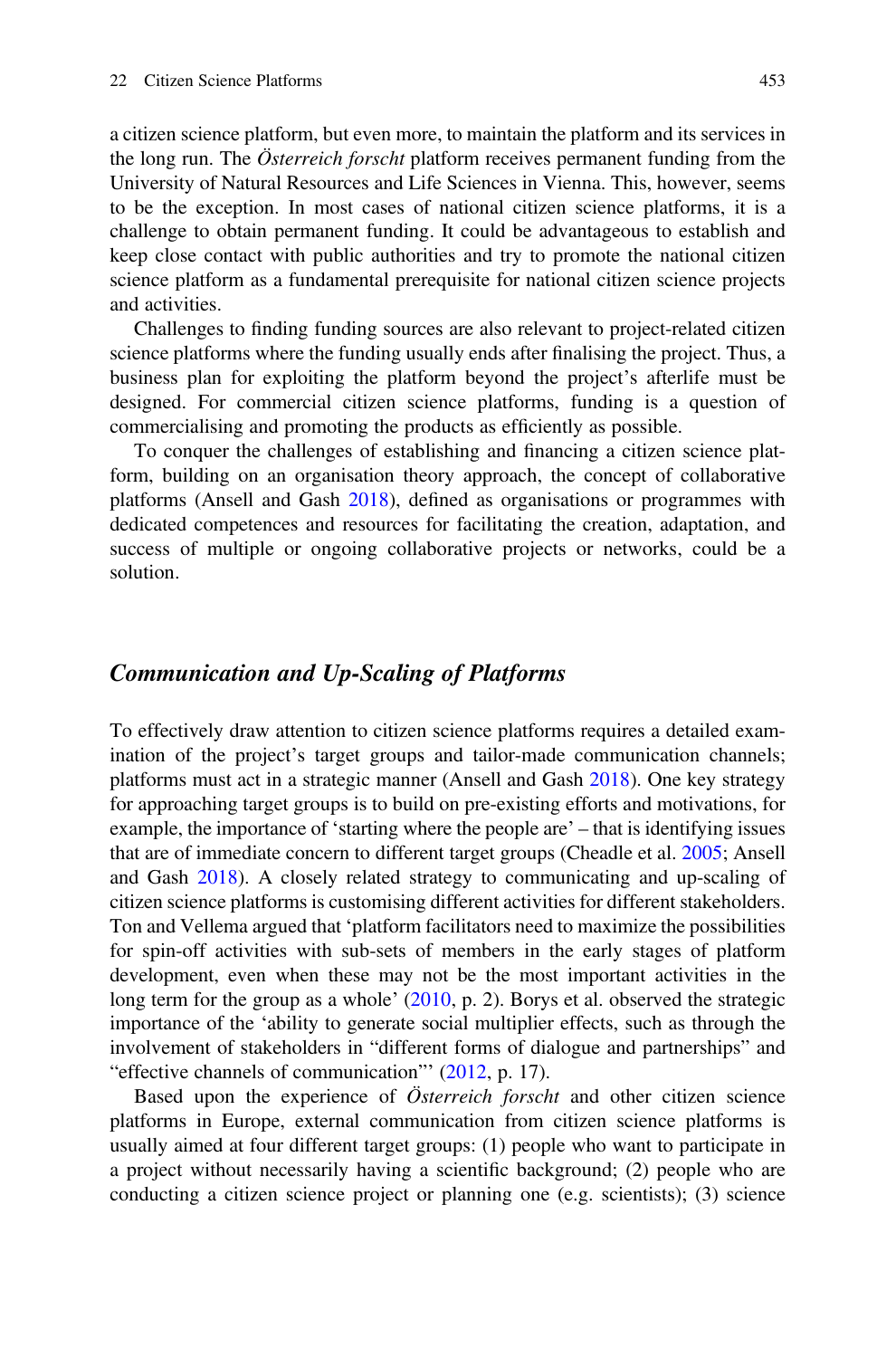a citizen science platform, but even more, to maintain the platform and its services in the long run. The *Österreich forscht* platform receives permanent funding from the University of Natural Resources and Life Sciences in Vienna. This, however, seems to be the exception. In most cases of national citizen science platforms, it is a challenge to obtain permanent funding. It could be advantageous to establish and keep close contact with public authorities and try to promote the national citizen science platform as a fundamental prerequisite for national citizen science projects and activities.

Challenges to finding funding sources are also relevant to project-related citizen science platforms where the funding usually ends after finalising the project. Thus, a business plan for exploiting the platform beyond the project's afterlife must be designed. For commercial citizen science platforms, funding is a question of commercialising and promoting the products as efficiently as possible.

To conquer the challenges of establishing and financing a citizen science platform, building on an organisation theory approach, the concept of collaborative platforms (Ansell and Gash [2018\)](#page-18-4), defined as organisations or programmes with dedicated competences and resources for facilitating the creation, adaptation, and success of multiple or ongoing collaborative projects or networks, could be a solution.

# Communication and Up-Scaling of Platforms

To effectively draw attention to citizen science platforms requires a detailed examination of the project's target groups and tailor-made communication channels; platforms must act in a strategic manner (Ansell and Gash [2018](#page-18-4)). One key strategy for approaching target groups is to build on pre-existing efforts and motivations, for example, the importance of 'starting where the people are' – that is identifying issues that are of immediate concern to different target groups (Cheadle et al. [2005;](#page-18-18) Ansell and Gash [2018\)](#page-18-4). A closely related strategy to communicating and up-scaling of citizen science platforms is customising different activities for different stakeholders. Ton and Vellema argued that 'platform facilitators need to maximize the possibilities for spin-off activities with sub-sets of members in the early stages of platform development, even when these may not be the most important activities in the long term for the group as a whole' [\(2010](#page-19-15), p. 2). Borys et al. observed the strategic importance of the 'ability to generate social multiplier effects, such as through the involvement of stakeholders in "different forms of dialogue and partnerships" and "effective channels of communication" ([2012,](#page-18-19) p. 17).

Based upon the experience of *Österreich forscht* and other citizen science platforms in Europe, external communication from citizen science platforms is usually aimed at four different target groups: (1) people who want to participate in a project without necessarily having a scientific background; (2) people who are conducting a citizen science project or planning one (e.g. scientists); (3) science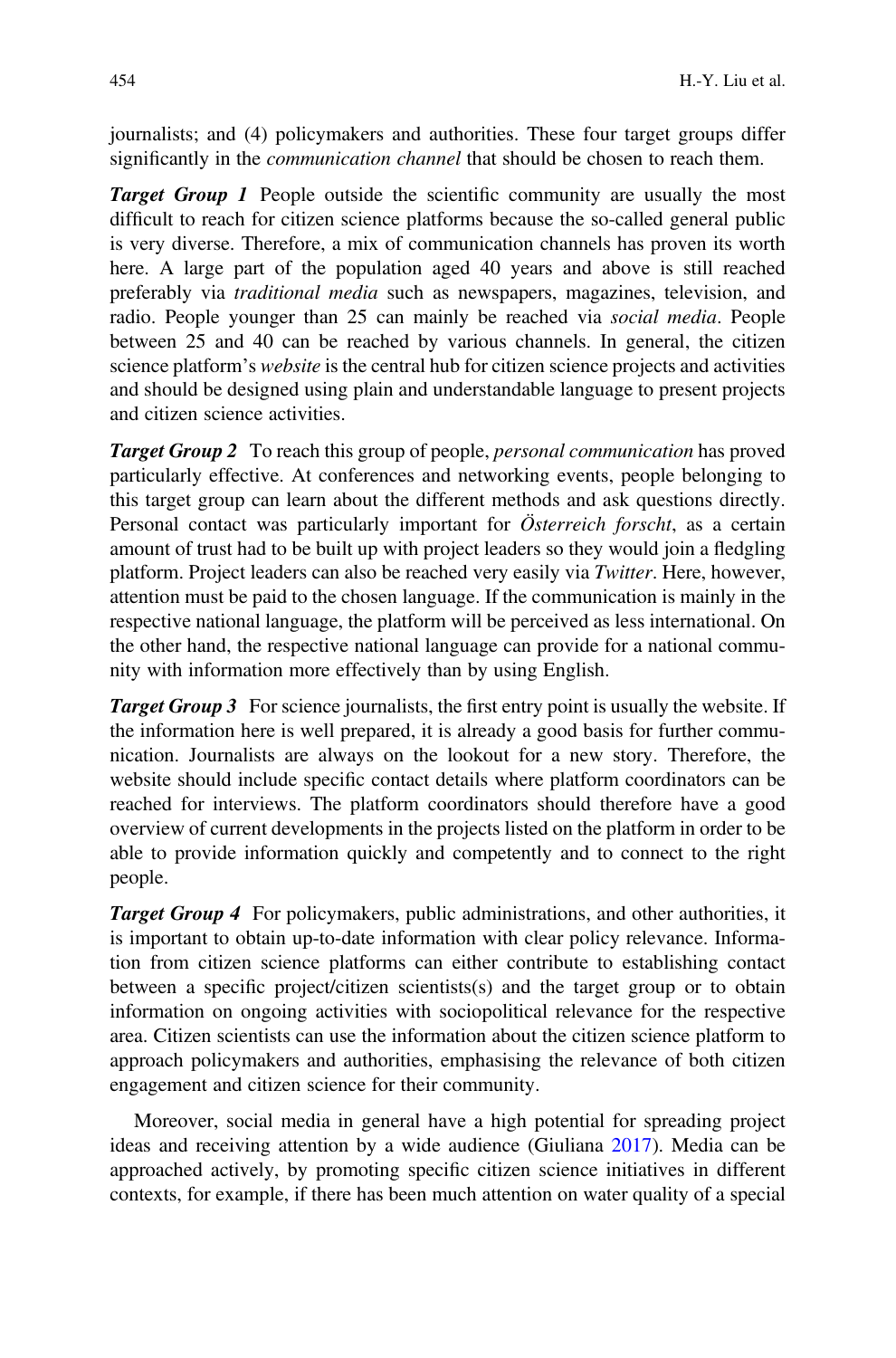journalists; and (4) policymakers and authorities. These four target groups differ significantly in the *communication channel* that should be chosen to reach them.

Target Group 1 People outside the scientific community are usually the most difficult to reach for citizen science platforms because the so-called general public is very diverse. Therefore, a mix of communication channels has proven its worth here. A large part of the population aged 40 years and above is still reached preferably via traditional media such as newspapers, magazines, television, and radio. People younger than 25 can mainly be reached via social media. People between 25 and 40 can be reached by various channels. In general, the citizen science platform's website is the central hub for citizen science projects and activities and should be designed using plain and understandable language to present projects and citizen science activities.

**Target Group 2** To reach this group of people, *personal communication* has proved particularly effective. At conferences and networking events, people belonging to this target group can learn about the different methods and ask questions directly. Personal contact was particularly important for Österreich forscht, as a certain amount of trust had to be built up with project leaders so they would join a fledgling platform. Project leaders can also be reached very easily via Twitter. Here, however, attention must be paid to the chosen language. If the communication is mainly in the respective national language, the platform will be perceived as less international. On the other hand, the respective national language can provide for a national community with information more effectively than by using English.

**Target Group 3** For science journalists, the first entry point is usually the website. If the information here is well prepared, it is already a good basis for further communication. Journalists are always on the lookout for a new story. Therefore, the website should include specific contact details where platform coordinators can be reached for interviews. The platform coordinators should therefore have a good overview of current developments in the projects listed on the platform in order to be able to provide information quickly and competently and to connect to the right people.

**Target Group 4** For policymakers, public administrations, and other authorities, it is important to obtain up-to-date information with clear policy relevance. Information from citizen science platforms can either contribute to establishing contact between a specific project/citizen scientists(s) and the target group or to obtain information on ongoing activities with sociopolitical relevance for the respective area. Citizen scientists can use the information about the citizen science platform to approach policymakers and authorities, emphasising the relevance of both citizen engagement and citizen science for their community.

Moreover, social media in general have a high potential for spreading project ideas and receiving attention by a wide audience (Giuliana [2017\)](#page-18-13). Media can be approached actively, by promoting specific citizen science initiatives in different contexts, for example, if there has been much attention on water quality of a special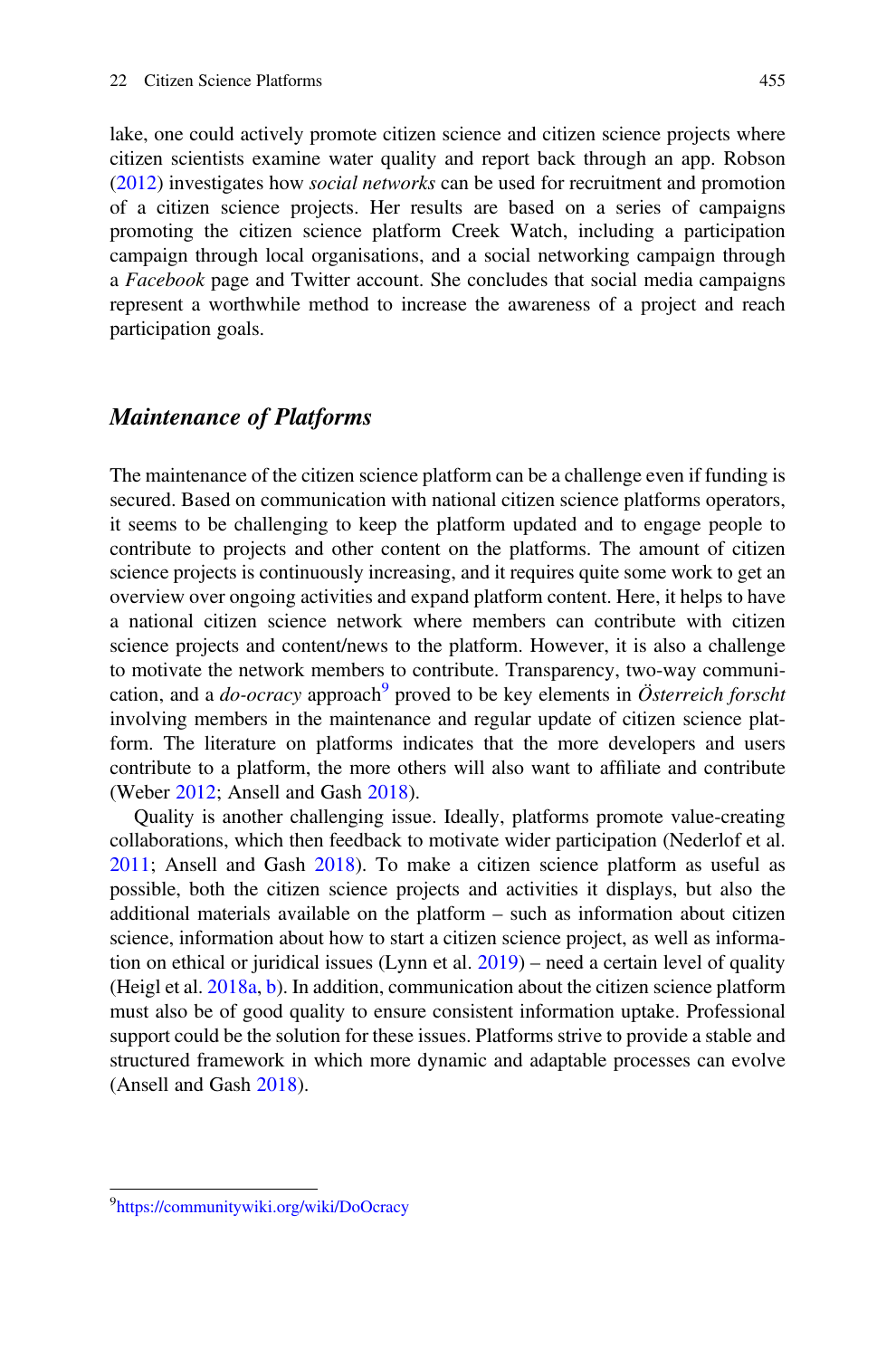lake, one could actively promote citizen science and citizen science projects where citizen scientists examine water quality and report back through an app. Robson [\(2012](#page-19-16)) investigates how social networks can be used for recruitment and promotion of a citizen science projects. Her results are based on a series of campaigns promoting the citizen science platform Creek Watch, including a participation campaign through local organisations, and a social networking campaign through a Facebook page and Twitter account. She concludes that social media campaigns represent a worthwhile method to increase the awareness of a project and reach participation goals.

# Maintenance of Platforms

The maintenance of the citizen science platform can be a challenge even if funding is secured. Based on communication with national citizen science platforms operators, it seems to be challenging to keep the platform updated and to engage people to contribute to projects and other content on the platforms. The amount of citizen science projects is continuously increasing, and it requires quite some work to get an overview over ongoing activities and expand platform content. Here, it helps to have a national citizen science network where members can contribute with citizen science projects and content/news to the platform. However, it is also a challenge to motivate the network members to contribute. Transparency, two-way communication, and a *do-ocracy* approach<sup>[9](#page-16-0)</sup> proved to be key elements in *Österreich forscht* involving members in the maintenance and regular update of citizen science platform. The literature on platforms indicates that the more developers and users contribute to a platform, the more others will also want to affiliate and contribute (Weber [2012](#page-19-17); Ansell and Gash [2018](#page-18-4)).

Quality is another challenging issue. Ideally, platforms promote value-creating collaborations, which then feedback to motivate wider participation (Nederlof et al. [2011;](#page-19-18) Ansell and Gash [2018](#page-18-4)). To make a citizen science platform as useful as possible, both the citizen science projects and activities it displays, but also the additional materials available on the platform – such as information about citizen science, information about how to start a citizen science project, as well as information on ethical or juridical issues (Lynn et al.  $2019$ ) – need a certain level of quality (Heigl et al. [2018a](#page-18-9), [b\)](#page-18-12). In addition, communication about the citizen science platform must also be of good quality to ensure consistent information uptake. Professional support could be the solution for these issues. Platforms strive to provide a stable and structured framework in which more dynamic and adaptable processes can evolve (Ansell and Gash [2018\)](#page-18-4).

<span id="page-16-0"></span><sup>&</sup>lt;sup>9</sup><https://communitywiki.org/wiki/DoOcracy>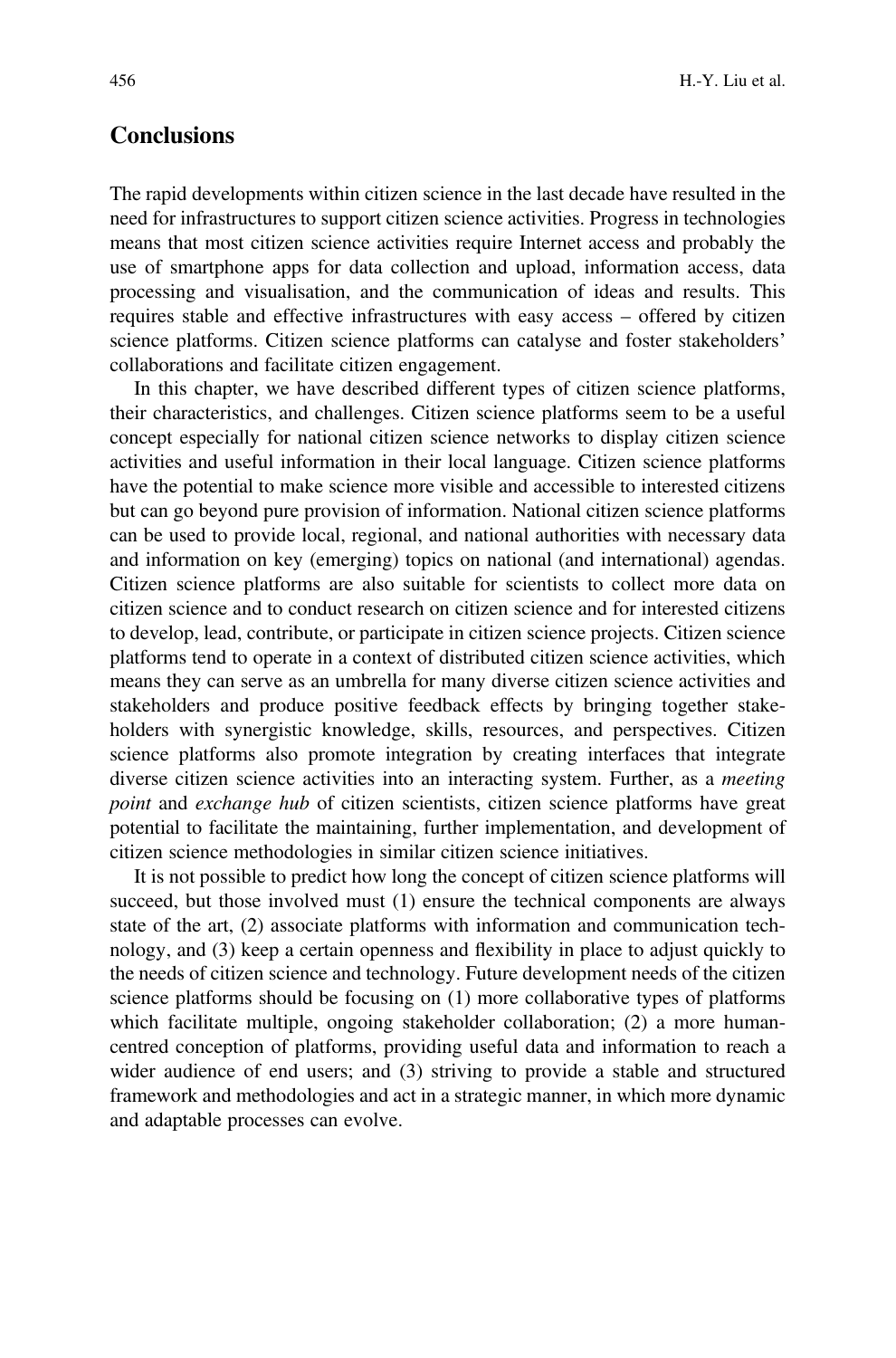# **Conclusions**

The rapid developments within citizen science in the last decade have resulted in the need for infrastructures to support citizen science activities. Progress in technologies means that most citizen science activities require Internet access and probably the use of smartphone apps for data collection and upload, information access, data processing and visualisation, and the communication of ideas and results. This requires stable and effective infrastructures with easy access – offered by citizen science platforms. Citizen science platforms can catalyse and foster stakeholders' collaborations and facilitate citizen engagement.

In this chapter, we have described different types of citizen science platforms, their characteristics, and challenges. Citizen science platforms seem to be a useful concept especially for national citizen science networks to display citizen science activities and useful information in their local language. Citizen science platforms have the potential to make science more visible and accessible to interested citizens but can go beyond pure provision of information. National citizen science platforms can be used to provide local, regional, and national authorities with necessary data and information on key (emerging) topics on national (and international) agendas. Citizen science platforms are also suitable for scientists to collect more data on citizen science and to conduct research on citizen science and for interested citizens to develop, lead, contribute, or participate in citizen science projects. Citizen science platforms tend to operate in a context of distributed citizen science activities, which means they can serve as an umbrella for many diverse citizen science activities and stakeholders and produce positive feedback effects by bringing together stakeholders with synergistic knowledge, skills, resources, and perspectives. Citizen science platforms also promote integration by creating interfaces that integrate diverse citizen science activities into an interacting system. Further, as a meeting point and exchange hub of citizen scientists, citizen science platforms have great potential to facilitate the maintaining, further implementation, and development of citizen science methodologies in similar citizen science initiatives.

It is not possible to predict how long the concept of citizen science platforms will succeed, but those involved must (1) ensure the technical components are always state of the art, (2) associate platforms with information and communication technology, and (3) keep a certain openness and flexibility in place to adjust quickly to the needs of citizen science and technology. Future development needs of the citizen science platforms should be focusing on (1) more collaborative types of platforms which facilitate multiple, ongoing stakeholder collaboration; (2) a more humancentred conception of platforms, providing useful data and information to reach a wider audience of end users; and (3) striving to provide a stable and structured framework and methodologies and act in a strategic manner, in which more dynamic and adaptable processes can evolve.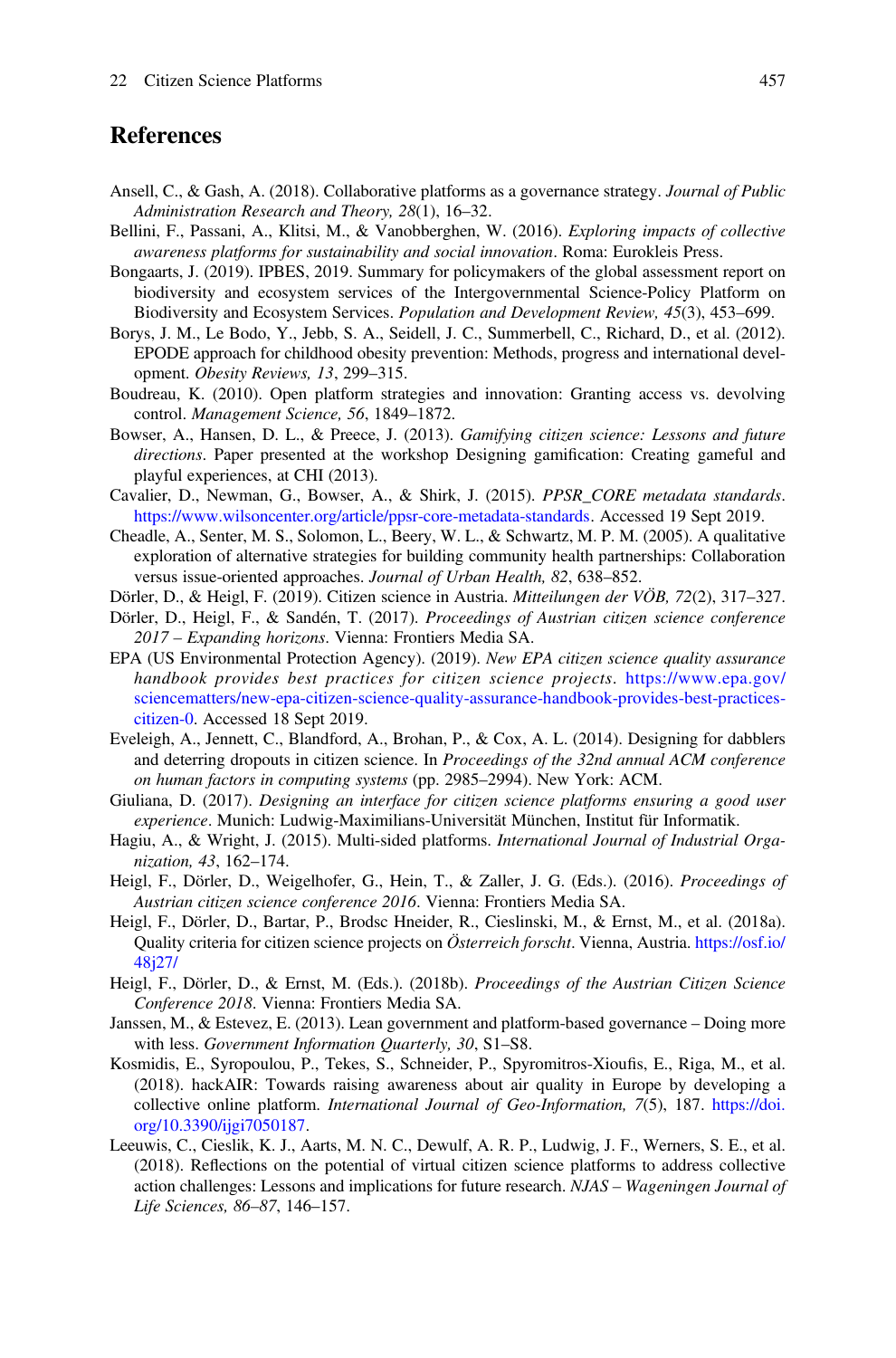# **References**

- <span id="page-18-4"></span>Ansell, C., & Gash, A. (2018). Collaborative platforms as a governance strategy. Journal of Public Administration Research and Theory, 28(1), 16–32.
- <span id="page-18-5"></span>Bellini, F., Passani, A., Klitsi, M., & Vanobberghen, W. (2016). Exploring impacts of collective awareness platforms for sustainability and social innovation. Roma: Eurokleis Press.
- <span id="page-18-6"></span>Bongaarts, J. (2019). IPBES, 2019. Summary for policymakers of the global assessment report on biodiversity and ecosystem services of the Intergovernmental Science-Policy Platform on Biodiversity and Ecosystem Services. Population and Development Review, 45(3), 453–699.
- <span id="page-18-19"></span>Borys, J. M., Le Bodo, Y., Jebb, S. A., Seidell, J. C., Summerbell, C., Richard, D., et al. (2012). EPODE approach for childhood obesity prevention: Methods, progress and international development. Obesity Reviews, 13, 299–315.
- <span id="page-18-16"></span>Boudreau, K. (2010). Open platform strategies and innovation: Granting access vs. devolving control. Management Science, 56, 1849–1872.
- <span id="page-18-0"></span>Bowser, A., Hansen, D. L., & Preece, J. (2013). Gamifying citizen science: Lessons and future directions. Paper presented at the workshop Designing gamification: Creating gameful and playful experiences, at CHI (2013).
- <span id="page-18-2"></span>Cavalier, D., Newman, G., Bowser, A., & Shirk, J. (2015). PPSR\_CORE metadata standards. [https://www.wilsoncenter.org/article/ppsr-core-metadata-standards.](https://www.wilsoncenter.org/article/ppsr-core-metadata-standards) Accessed 19 Sept 2019.
- <span id="page-18-18"></span>Cheadle, A., Senter, M. S., Solomon, L., Beery, W. L., & Schwartz, M. P. M. (2005). A qualitative exploration of alternative strategies for building community health partnerships: Collaboration versus issue-oriented approaches. Journal of Urban Health, 82, 638–852.
- <span id="page-18-8"></span>Dörler, D., & Heigl, F. (2019). Citizen science in Austria. Mitteilungen der VÖB, 72(2), 317–327.
- <span id="page-18-11"></span>Dörler, D., Heigl, F., & Sandén, T. (2017). Proceedings of Austrian citizen science conference 2017 – Expanding horizons. Vienna: Frontiers Media SA.
- <span id="page-18-3"></span>EPA (US Environmental Protection Agency). (2019). New EPA citizen science quality assurance handbook provides best practices for citizen science projects. [https://www.epa.gov/](https://www.epa.gov/sciencematters/new-epa-citizen-science-quality-assurance-handbook-provides-best-practices-citizen-0) [sciencematters/new-epa-citizen-science-quality-assurance-handbook-provides-best-practices](https://www.epa.gov/sciencematters/new-epa-citizen-science-quality-assurance-handbook-provides-best-practices-citizen-0)[citizen-0](https://www.epa.gov/sciencematters/new-epa-citizen-science-quality-assurance-handbook-provides-best-practices-citizen-0). Accessed 18 Sept 2019.
- <span id="page-18-1"></span>Eveleigh, A., Jennett, C., Blandford, A., Brohan, P., & Cox, A. L. (2014). Designing for dabblers and deterring dropouts in citizen science. In Proceedings of the 32nd annual ACM conference on human factors in computing systems (pp. 2985–2994). New York: ACM.
- <span id="page-18-13"></span>Giuliana, D. (2017). Designing an interface for citizen science platforms ensuring a good user experience. Munich: Ludwig-Maximilians-Universität München, Institut für Informatik.
- <span id="page-18-15"></span>Hagiu, A., & Wright, J. (2015). Multi-sided platforms. International Journal of Industrial Organization, 43, 162–174.
- <span id="page-18-10"></span>Heigl, F., Dörler, D., Weigelhofer, G., Hein, T., & Zaller, J. G. (Eds.). (2016). Proceedings of Austrian citizen science conference 2016. Vienna: Frontiers Media SA.
- <span id="page-18-9"></span>Heigl, F., Dörler, D., Bartar, P., Brodsc Hneider, R., Cieslinski, M., & Ernst, M., et al. (2018a). Quality criteria for citizen science projects on Österreich forscht. Vienna, Austria. [https://osf.io/](https://osf.io/48j27/) [48j27/](https://osf.io/48j27/)
- <span id="page-18-12"></span>Heigl, F., Dörler, D., & Ernst, M. (Eds.). (2018b). Proceedings of the Austrian Citizen Science Conference 2018. Vienna: Frontiers Media SA.
- <span id="page-18-17"></span>Janssen, M., & Estevez, E. (2013). Lean government and platform-based governance – Doing more with less. Government Information Quarterly, 30, S1–S8.
- <span id="page-18-7"></span>Kosmidis, E., Syropoulou, P., Tekes, S., Schneider, P., Spyromitros-Xioufis, E., Riga, M., et al. (2018). hackAIR: Towards raising awareness about air quality in Europe by developing a collective online platform. *International Journal of Geo-Information*, 7(5), 187. [https://doi.](https://doi.org/10.3390/ijgi7050187) [org/10.3390/ijgi7050187.](https://doi.org/10.3390/ijgi7050187)
- <span id="page-18-14"></span>Leeuwis, C., Cieslik, K. J., Aarts, M. N. C., Dewulf, A. R. P., Ludwig, J. F., Werners, S. E., et al. (2018). Reflections on the potential of virtual citizen science platforms to address collective action challenges: Lessons and implications for future research. NJAS - Wageningen Journal of Life Sciences, 86–87, 146–157.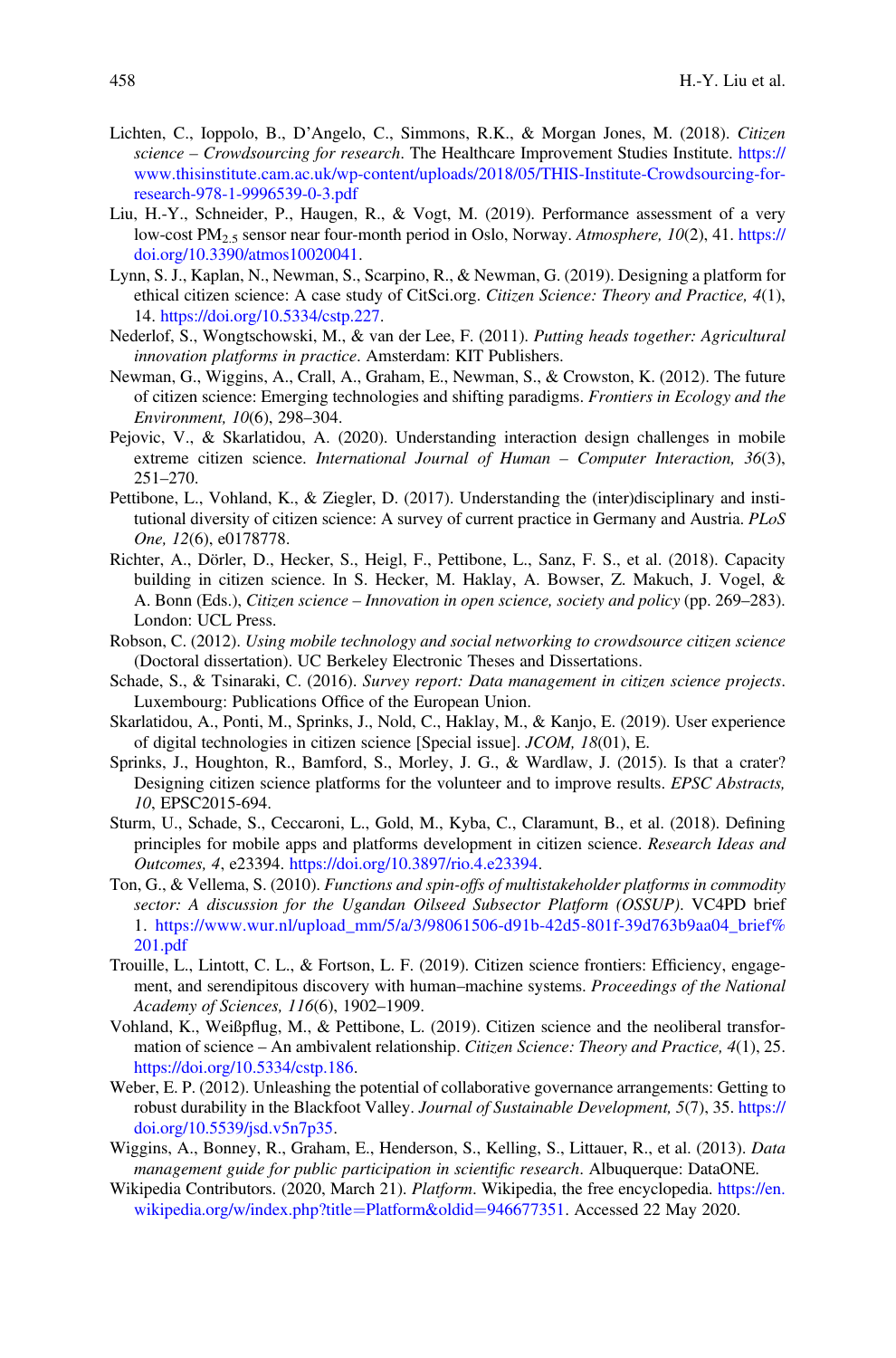- <span id="page-19-6"></span>Lichten, C., Ioppolo, B., D'Angelo, C., Simmons, R.K., & Morgan Jones, M. (2018). Citizen science – Crowdsourcing for research. The Healthcare Improvement Studies Institute. [https://](https://www.thisinstitute.cam.ac.uk/wp-content/uploads/2018/05/THIS-Institute-Crowdsourcing-for-research-978-1-9996539-0-3.pdf) [www.thisinstitute.cam.ac.uk/wp-content/uploads/2018/05/THIS-Institute-Crowdsourcing-for](https://www.thisinstitute.cam.ac.uk/wp-content/uploads/2018/05/THIS-Institute-Crowdsourcing-for-research-978-1-9996539-0-3.pdf)[research-978-1-9996539-0-3.pdf](https://www.thisinstitute.cam.ac.uk/wp-content/uploads/2018/05/THIS-Institute-Crowdsourcing-for-research-978-1-9996539-0-3.pdf)
- <span id="page-19-8"></span>Liu, H.-Y., Schneider, P., Haugen, R., & Vogt, M. (2019). Performance assessment of a very low-cost  $PM_{2,5}$  sensor near four-month period in Oslo, Norway. Atmosphere, 10(2), 41. [https://](https://doi.org/10.3390/atmos10020041) [doi.org/10.3390/atmos10020041.](https://doi.org/10.3390/atmos10020041)
- <span id="page-19-3"></span>Lynn, S. J., Kaplan, N., Newman, S., Scarpino, R., & Newman, G. (2019). Designing a platform for ethical citizen science: A case study of CitSci.org. Citizen Science: Theory and Practice, 4(1), 14. [https://doi.org/10.5334/cstp.227.](https://doi.org/10.5334/cstp.227)
- <span id="page-19-18"></span>Nederlof, S., Wongtschowski, M., & van der Lee, F. (2011). Putting heads together: Agricultural innovation platforms in practice. Amsterdam: KIT Publishers.
- <span id="page-19-0"></span>Newman, G., Wiggins, A., Crall, A., Graham, E., Newman, S., & Crowston, K. (2012). The future of citizen science: Emerging technologies and shifting paradigms. Frontiers in Ecology and the Environment, 10(6), 298–304.
- <span id="page-19-13"></span>Pejovic, V., & Skarlatidou, A. (2020). Understanding interaction design challenges in mobile extreme citizen science. International Journal of Human – Computer Interaction, 36(3), 251–270.
- <span id="page-19-9"></span>Pettibone, L., Vohland, K., & Ziegler, D. (2017). Understanding the (inter)disciplinary and institutional diversity of citizen science: A survey of current practice in Germany and Austria. PLoS One, 12(6), e0178778.
- <span id="page-19-10"></span>Richter, A., Dörler, D., Hecker, S., Heigl, F., Pettibone, L., Sanz, F. S., et al. (2018). Capacity building in citizen science. In S. Hecker, M. Haklay, A. Bowser, Z. Makuch, J. Vogel, & A. Bonn (Eds.), Citizen science – Innovation in open science, society and policy (pp. 269–283). London: UCL Press.
- <span id="page-19-16"></span>Robson, C. (2012). Using mobile technology and social networking to crowdsource citizen science (Doctoral dissertation). UC Berkeley Electronic Theses and Dissertations.
- <span id="page-19-2"></span>Schade, S., & Tsinaraki, C. (2016). Survey report: Data management in citizen science projects. Luxembourg: Publications Office of the European Union.
- <span id="page-19-12"></span>Skarlatidou, A., Ponti, M., Sprinks, J., Nold, C., Haklay, M., & Kanjo, E. (2019). User experience of digital technologies in citizen science [Special issue]. JCOM, 18(01), E.
- <span id="page-19-5"></span>Sprinks, J., Houghton, R., Bamford, S., Morley, J. G., & Wardlaw, J. (2015). Is that a crater? Designing citizen science platforms for the volunteer and to improve results. *EPSC Abstracts*, 10, EPSC2015-694.
- <span id="page-19-7"></span>Sturm, U., Schade, S., Ceccaroni, L., Gold, M., Kyba, C., Claramunt, B., et al. (2018). Defining principles for mobile apps and platforms development in citizen science. Research Ideas and Outcomes, 4, e23394. <https://doi.org/10.3897/rio.4.e23394>.
- <span id="page-19-15"></span>Ton, G., & Vellema, S. (2010). Functions and spin-offs of multistakeholder platforms in commodity sector: A discussion for the Ugandan Oilseed Subsector Platform (OSSUP). VC4PD brief 1. [https://www.wur.nl/upload\\_mm/5/a/3/98061506-d91b-42d5-801f-39d763b9aa04\\_brief%](https://www.wur.nl/upload_mm/5/a/3/98061506-d91b-42d5-801f-39d763b9aa04_brief%201.pdf) [201.pdf](https://www.wur.nl/upload_mm/5/a/3/98061506-d91b-42d5-801f-39d763b9aa04_brief%201.pdf)
- <span id="page-19-14"></span>Trouille, L., Lintott, C. L., & Fortson, L. F. (2019). Citizen science frontiers: Efficiency, engagement, and serendipitous discovery with human–machine systems. Proceedings of the National Academy of Sciences, 116(6), 1902–1909.
- <span id="page-19-11"></span>Vohland, K., Weißpflug, M., & Pettibone, L. (2019). Citizen science and the neoliberal transformation of science - An ambivalent relationship. Citizen Science: Theory and Practice, 4(1), 25. [https://doi.org/10.5334/cstp.186.](https://doi.org/10.5334/cstp.186)
- <span id="page-19-17"></span>Weber, E. P. (2012). Unleashing the potential of collaborative governance arrangements: Getting to robust durability in the Blackfoot Valley. Journal of Sustainable Development, 5(7), 35. [https://](https://doi.org/10.5539/jsd.v5n7p35) [doi.org/10.5539/jsd.v5n7p35.](https://doi.org/10.5539/jsd.v5n7p35)
- <span id="page-19-1"></span>Wiggins, A., Bonney, R., Graham, E., Henderson, S., Kelling, S., Littauer, R., et al. (2013). Data management guide for public participation in scientific research. Albuquerque: DataONE.
- <span id="page-19-4"></span>Wikipedia Contributors. (2020, March 21). Platform. Wikipedia, the free encyclopedia. [https://en.](https://en.wikipedia.org/w/index.php?title=Platform&oldid=946677351) [wikipedia.org/w/index.php?title](https://en.wikipedia.org/w/index.php?title=Platform&oldid=946677351)=[Platform&oldid](https://en.wikipedia.org/w/index.php?title=Platform&oldid=946677351)=[946677351](https://en.wikipedia.org/w/index.php?title=Platform&oldid=946677351). Accessed 22 May 2020.